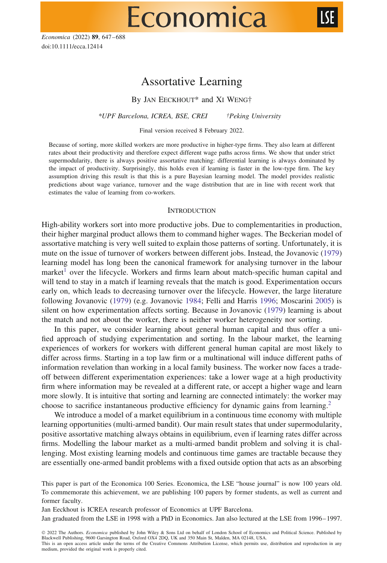*Economica* (2022) **89**, 647–688 doi:10.1111/ecca.12414

# Assortative Learning

Economica

By JAN EECKHOUT\* and XI WENG†

*\*UPF Barcelona, ICREA, BSE, CREI †Peking University*

Final version received 8 February 2022.

Because of sorting, more skilled workers are more productive in higher-type firms. They also learn at different rates about their productivity and therefore expect different wage paths across firms. We show that under strict supermodularity, there is always positive assortative matching: differential learning is always dominated by the impact of productivity. Surprisingly, this holds even if learning is faster in the low-type firm. The key assumption driving this result is that this is a pure Bayesian learning model. The model provides realistic predictions about wage variance, turnover and the wage distribution that are in line with recent work that estimates the value of learning from co-workers.

#### **INTRODUCTION**

High-ability workers sort into more productive jobs. Due to complementarities in production, their higher marginal product allows them to command higher wages. The Beckerian model of assortative matching is very well suited to explain those patterns of sorting. Unfortunately, it is mute on the issue of turnover of workers between different jobs. Instead, the Jovanovic [\(1979\)](#page-41-0) learning model has long been the canonical framework for analysing turnover in the labour market<sup>[1](#page-39-0)</sup> over the lifecycle. Workers and firms learn about match-specific human capital and will tend to stay in a match if learning reveals that the match is good. Experimentation occurs early on, which leads to decreasing turnover over the lifecycle. However, the large literature following Jovanovic [\(1979\)](#page-41-0) (e.g. Jovanovic [1984;](#page-41-1) Felli and Harris [1996;](#page-41-2) Moscarini [2005\)](#page-41-3) is silent on how experimentation affects sorting. Because in Jovanovic [\(1979\)](#page-41-0) learning is about the match and not about the worker, there is neither worker heterogeneity nor sorting.

In this paper, we consider learning about general human capital and thus offer a unified approach of studying experimentation and sorting. In the labour market, the learning experiences of workers for workers with different general human capital are most likely to differ across firms. Starting in a top law firm or a multinational will induce different paths of information revelation than working in a local family business. The worker now faces a tradeoff between different experimentation experiences: take a lower wage at a high productivity firm where information may be revealed at a different rate, or accept a higher wage and learn more slowly. It is intuitive that sorting and learning are connected intimately: the worker may choose to sacrifice instantaneous productive efficiency for dynamic gains from learning[.2](#page-39-1)

We introduce a model of a market equilibrium in a continuous time economy with multiple learning opportunities (multi-armed bandit). Our main result states that under supermodularity, positive assortative matching always obtains in equilibrium, even if learning rates differ across firms. Modelling the labour market as a multi-armed bandit problem and solving it is challenging. Most existing learning models and continuous time games are tractable because they are essentially one-armed bandit problems with a fixed outside option that acts as an absorbing

Jan Eeckhout is ICREA research professor of Economics at UPF Barcelona.

Jan graduated from the LSE in 1998 with a PhD in Economics. Jan also lectured at the LSE from 1996–1997.

This paper is part of the Economica 100 Series. Economica, the LSE "house journal" is now 100 years old. To commemorate this achievement, we are publishing 100 papers by former students, as well as current and former faculty.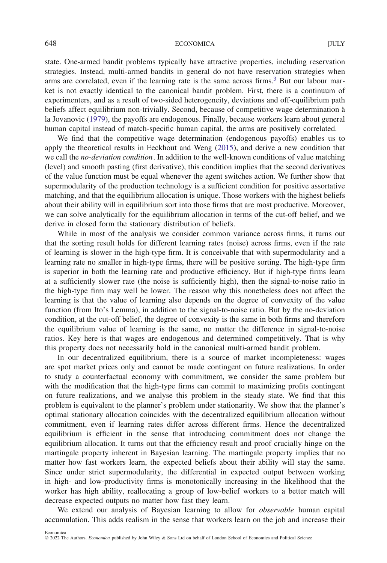state. One-armed bandit problems typically have attractive properties, including reservation strategies. Instead, multi-armed bandits in general do not have reservation strategies when arms are correlated, even if the learning rate is the same across firms.<sup>3</sup> But our labour market is not exactly identical to the canonical bandit problem. First, there is a continuum of experimenters, and as a result of two-sided heterogeneity, deviations and off-equilibrium path beliefs affect equilibrium non-trivially. Second, because of competitive wage determination a` la Jovanovic [\(1979\)](#page-41-0), the payoffs are endogenous. Finally, because workers learn about general human capital instead of match-specific human capital, the arms are positively correlated.

We find that the competitive wage determination (endogenous payoffs) enables us to apply the theoretical results in Eeckhout and Weng [\(2015\)](#page-41-4), and derive a new condition that we call the *no-deviation condition*. In addition to the well-known conditions of value matching (level) and smooth pasting (first derivative), this condition implies that the second derivatives of the value function must be equal whenever the agent switches action. We further show that supermodularity of the production technology is a sufficient condition for positive assortative matching, and that the equilibrium allocation is unique. Those workers with the highest beliefs about their ability will in equilibrium sort into those firms that are most productive. Moreover, we can solve analytically for the equilibrium allocation in terms of the cut-off belief, and we derive in closed form the stationary distribution of beliefs.

While in most of the analysis we consider common variance across firms, it turns out that the sorting result holds for different learning rates (noise) across firms, even if the rate of learning is slower in the high-type firm. It is conceivable that with supermodularity and a learning rate no smaller in high-type firms, there will be positive sorting. The high-type firm is superior in both the learning rate and productive efficiency. But if high-type firms learn at a sufficiently slower rate (the noise is sufficiently high), then the signal-to-noise ratio in the high-type firm may well be lower. The reason why this nonetheless does not affect the learning is that the value of learning also depends on the degree of convexity of the value function (from Ito's Lemma), in addition to the signal-to-noise ratio. But by the no-deviation condition, at the cut-off belief, the degree of convexity is the same in both firms and therefore the equilibrium value of learning is the same, no matter the difference in signal-to-noise ratios. Key here is that wages are endogenous and determined competitively. That is why this property does not necessarily hold in the canonical multi-armed bandit problem.

In our decentralized equilibrium, there is a source of market incompleteness: wages are spot market prices only and cannot be made contingent on future realizations. In order to study a counterfactual economy with commitment, we consider the same problem but with the modification that the high-type firms can commit to maximizing profits contingent on future realizations, and we analyse this problem in the steady state. We find that this problem is equivalent to the planner's problem under stationarity. We show that the planner's optimal stationary allocation coincides with the decentralized equilibrium allocation without commitment, even if learning rates differ across different firms. Hence the decentralized equilibrium is efficient in the sense that introducing commitment does not change the equilibrium allocation. It turns out that the efficiency result and proof crucially hinge on the martingale property inherent in Bayesian learning. The martingale property implies that no matter how fast workers learn, the expected beliefs about their ability will stay the same. Since under strict supermodularity, the differential in expected output between working in high- and low-productivity firms is monotonically increasing in the likelihood that the worker has high ability, reallocating a group of low-belief workers to a better match will decrease expected outputs no matter how fast they learn.

We extend our analysis of Bayesian learning to allow for *observable* human capital accumulation. This adds realism in the sense that workers learn on the job and increase their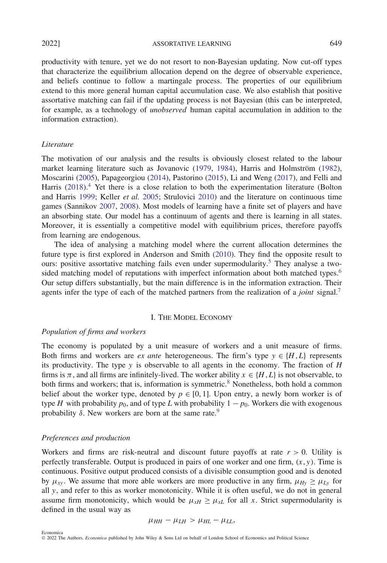2022] ASSORTATIVE LEARNING 649

productivity with tenure, yet we do not resort to non-Bayesian updating. Now cut-off types that characterize the equilibrium allocation depend on the degree of observable experience, and beliefs continue to follow a martingale process. The properties of our equilibrium extend to this more general human capital accumulation case. We also establish that positive assortative matching can fail if the updating process is not Bayesian (this can be interpreted, for example, as a technology of *unobserved* human capital accumulation in addition to the information extraction).

#### *Literature*

The motivation of our analysis and the results is obviously closest related to the labour market learning literature such as Jovanovic [\(1979,](#page-41-0) [1984\)](#page-41-1), Harris and Holmström ([1982\)](#page-41-5), Moscarini [\(2005\)](#page-41-3), Papageorgiou [\(2014\)](#page-41-6), Pastorino [\(2015\)](#page-41-7), Li and Weng [\(2017\)](#page-41-8), and Felli and Harris [\(2018\)](#page-41-9).<sup>4</sup> Yet there is a close relation to both the experimentation literature (Bolton and Harris [1999;](#page-41-10) Keller *et al.* [2005;](#page-41-11) Strulovici [2010\)](#page-41-12) and the literature on continuous time games (Sannikov [2007,](#page-41-13) [2008\)](#page-41-14). Most models of learning have a finite set of players and have an absorbing state. Our model has a continuum of agents and there is learning in all states. Moreover, it is essentially a competitive model with equilibrium prices, therefore payoffs from learning are endogenous.

The idea of analysing a matching model where the current allocation determines the future type is first explored in Anderson and Smith [\(2010\)](#page-41-15). They find the opposite result to ours: positive assortative matching fails even under supermodularity.<sup>5</sup> They analyse a two-sided matching model of reputations with imperfect information about both matched types.<sup>[6](#page-39-5)</sup> Our setup differs substantially, but the main difference is in the information extraction. Their agents infer the type of each of the matched partners from the realization of a *joint* signal.[7](#page-39-6)

# I. THE MODEL ECONOMY

#### *Population of firms and workers*

The economy is populated by a unit measure of workers and a unit measure of firms. Both firms and workers are *ex ante* heterogeneous. The firm's type  $y \in \{H, L\}$  represents its productivity. The type *y* is observable to all agents in the economy. The fraction of *H* firms is  $\pi$ , and all firms are infinitely-lived. The worker ability  $x \in \{H, L\}$  is not observable, to both firms and workers; that is, information is symmetric.<sup>[8](#page-39-7)</sup> Nonetheless, both hold a common belief about the worker type, denoted by  $p \in [0, 1]$ . Upon entry, a newly born worker is of type *H* with probability  $p_0$ , and of type *L* with probability  $1 - p_0$ . Workers die with exogenous probability  $\delta$ . New workers are born at the same rate.<sup>9</sup>

# *Preferences and production*

Workers and firms are risk-neutral and discount future payoffs at rate  $r > 0$ . Utility is perfectly transferable. Output is produced in pairs of one worker and one firm,  $(x, y)$ . Time is continuous. Positive output produced consists of a divisible consumption good and is denoted by  $\mu_{xy}$ . We assume that more able workers are more productive in any firm,  $\mu_{Hy} \geq \mu_{Ly}$  for all *y*, and refer to this as worker monotonicity. While it is often useful, we do not in general assume firm monotonicity, which would be  $\mu_{xH} \geq \mu_{xL}$  for all x. Strict supermodularity is defined in the usual way as

$$
\mu_{HH}-\mu_{LH}>\mu_{HL}-\mu_{LL},
$$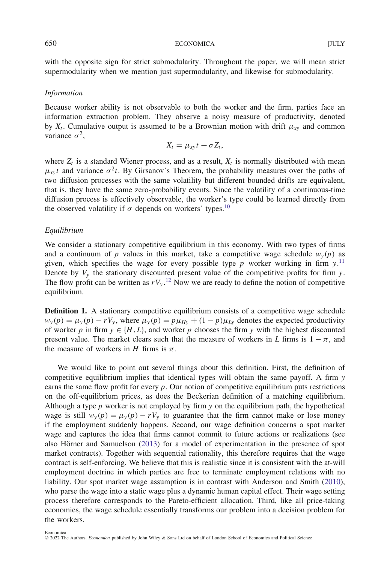with the opposite sign for strict submodularity. Throughout the paper, we will mean strict supermodularity when we mention just supermodularity, and likewise for submodularity.

#### *Information*

Because worker ability is not observable to both the worker and the firm, parties face an information extraction problem. They observe a noisy measure of productivity, denoted by  $X_t$ . Cumulative output is assumed to be a Brownian motion with drift  $\mu_{XY}$  and common variance  $\sigma^2$ .

$$
X_t = \mu_{xy} t + \sigma Z_t,
$$

where  $Z_t$  is a standard Wiener process, and as a result,  $X_t$  is normally distributed with mean  $\mu_{xy}t$  and variance  $\sigma^2t$ . By Girsanov's Theorem, the probability measures over the paths of two diffusion processes with the same volatility but different bounded drifts are equivalent, that is, they have the same zero-probability events. Since the volatility of a continuous-time diffusion process is effectively observable, the worker's type could be learned directly from the observed volatility if  $\sigma$  depends on workers' types.<sup>10</sup>

#### *Equilibrium*

We consider a stationary competitive equilibrium in this economy. With two types of firms and a continuum of *p* values in this market, take a competitive wage schedule  $w_y(p)$  as given, which specifies the wage for every possible type  $p$  worker working in firm  $y$ .<sup>[11](#page-39-10)</sup> Denote by  $V_y$  the stationary discounted present value of the competitive profits for firm *y*. The flow profit can be written as  $rV_y$ .<sup>[12](#page-39-11)</sup> Now we are ready to define the notion of competitive equilibrium.

<span id="page-3-0"></span>**Definition 1.** A stationary competitive equilibrium consists of a competitive wage schedule  $w_y(p) = \mu_y(p) - rV_y$ , where  $\mu_y(p) = p\mu_{Hy} + (1-p)\mu_{Ly}$  denotes the expected productivity of worker *p* in firm  $y \in \{H, L\}$ , and worker *p* chooses the firm *y* with the highest discounted present value. The market clears such that the measure of workers in *L* firms is  $1 - \pi$ , and the measure of workers in *H* firms is  $\pi$ .

We would like to point out several things about this definition. First, the definition of competitive equilibrium implies that identical types will obtain the same payoff. A firm *y* earns the same flow profit for every *p*. Our notion of competitive equilibrium puts restrictions on the off-equilibrium prices, as does the Beckerian definition of a matching equilibrium. Although a type *p* worker is not employed by firm *y* on the equilibrium path, the hypothetical wage is still  $w_y(p) = \mu_y(p) - rV_y$  to guarantee that the firm cannot make or lose money if the employment suddenly happens. Second, our wage definition concerns a spot market wage and captures the idea that firms cannot commit to future actions or realizations (see also Hörner and Samuelson  $(2013)$  $(2013)$  for a model of experimentation in the presence of spot market contracts). Together with sequential rationality, this therefore requires that the wage contract is self-enforcing. We believe that this is realistic since it is consistent with the at-will employment doctrine in which parties are free to terminate employment relations with no liability. Our spot market wage assumption is in contrast with Anderson and Smith [\(2010\)](#page-41-15), who parse the wage into a static wage plus a dynamic human capital effect. Their wage setting process therefore corresponds to the Pareto-efficient allocation. Third, like all price-taking economies, the wage schedule essentially transforms our problem into a decision problem for the workers.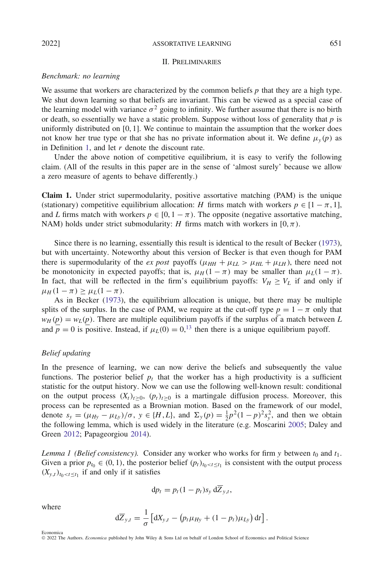### II. PRELIMINARIES

#### *Benchmark: no learning*

We assume that workers are characterized by the common beliefs *p* that they are a high type. We shut down learning so that beliefs are invariant. This can be viewed as a special case of the learning model with variance  $\sigma^2$  going to infinity. We further assume that there is no birth or death, so essentially we have a static problem. Suppose without loss of generality that *p* is uniformly distributed on  $[0, 1]$ . We continue to maintain the assumption that the worker does not know her true type or that she has no private information about it. We define  $\mu$ <sup>*y*</sup> *(p)* as in Definition [1,](#page-3-0) and let *r* denote the discount rate.

Under the above notion of competitive equilibrium, it is easy to verify the following claim. (All of the results in this paper are in the sense of 'almost surely' because we allow a zero measure of agents to behave differently.)

**Claim 1.** Under strict supermodularity, positive assortative matching (PAM) is the unique (stationary) competitive equilibrium allocation: *H* firms match with workers  $p \in [1 - \pi, 1]$ , and *L* firms match with workers  $p \in [0, 1 - \pi)$ . The opposite (negative assortative matching, NAM) holds under strict submodularity: *H* firms match with workers in  $[0, \pi)$ .

Since there is no learning, essentially this result is identical to the result of Becker [\(1973\)](#page-41-17), but with uncertainty. Noteworthy about this version of Becker is that even though for PAM there is supermodularity of the *ex post* payoffs ( $\mu_{HH} + \mu_{LL} > \mu_{HL} + \mu_{LH}$ ), there need not be monotonicity in expected payoffs; that is,  $\mu_H(1 - \pi)$  may be smaller than  $\mu_L(1 - \pi)$ . In fact, that will be reflected in the firm's equilibrium payoffs:  $V_H \geq V_L$  if and only if  $\mu_H(1-\pi) > \mu_L(1-\pi)$ .

As in Becker [\(1973\)](#page-41-17), the equilibrium allocation is unique, but there may be multiple splits of the surplus. In the case of PAM, we require at the cut-off type  $p = 1 - \pi$  only that  $w_H(p) = w_L(p)$ . There are multiple equilibrium payoffs if the surplus of a match between *L* and  $p = 0$  is positive. Instead, if  $\mu_L(0) = 0$ , <sup>[13](#page-39-12)</sup> then there is a unique equilibrium payoff.

# *Belief updating*

In the presence of learning, we can now derive the beliefs and subsequently the value functions. The posterior belief  $p_t$  that the worker has a high productivity is a sufficient statistic for the output history. Now we can use the following well-known result: conditional on the output process  $(X_t)_{t>0}$ ,  $(p_t)_{t>0}$  is a martingale diffusion process. Moreover, this process can be represented as a Brownian motion. Based on the framework of our model, denote  $s_y = (\mu_{Hy} - \mu_{Ly})/\sigma$ ,  $y \in \{H, L\}$ , and  $\Sigma_y(p) = \frac{1}{2}p^2(1-p)^2 s_y^2$ , and then we obtain the following lemma, which is used widely in the literature (e.g. Moscarini [2005;](#page-41-3) Daley and Green [2012;](#page-41-18) Papageorgiou [2014\)](#page-41-6).

<span id="page-4-0"></span>*Lemma 1 (Belief consistency).* Consider any worker who works for firm *y* between  $t_0$  and  $t_1$ . Given a prior  $p_{t_0} \in (0, 1)$ , the posterior belief  $(p_t)_{t_0 < t \le t_1}$  is consistent with the output process  $(X_{y,t})_{t_0 < t \le t_1}$  if and only if it satisfies

$$
\mathrm{d}p_t = p_t(1-p_t)s_y\,\mathrm{d}\overline{Z}_{y,t},
$$

where

Economica

$$
d\overline{Z}_{y,t} = \frac{1}{\sigma} \left[ dX_{y,t} - \left( p_t \mu_{Hy} + (1 - p_t) \mu_{Ly} \right) dt \right].
$$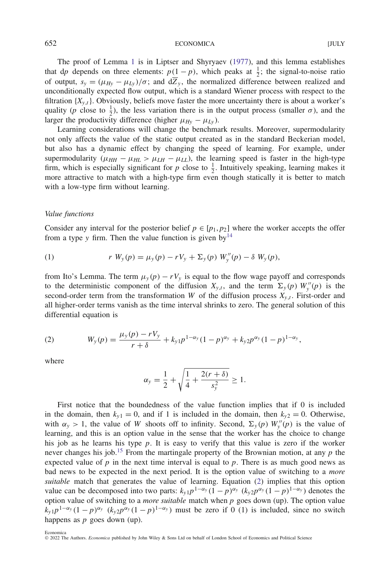The proof of Lemma [1](#page-4-0) is in Liptser and Shyryaev [\(1977\)](#page-41-19), and this lemma establishes that d*p* depends on three elements:  $p(1-p)$ , which peaks at  $\frac{1}{2}$ ; the signal-to-noise ratio of output,  $s_y = (\mu_{Hy} - \mu_{Ly})/\sigma$ ; and  $d\overline{Z}_y$ , the normalized difference between realized and unconditionally expected flow output, which is a standard Wiener process with respect to the filtration  ${X_{y,t}}$ . Obviously, beliefs move faster the more uncertainty there is about a worker's quality (*p* close to  $\frac{1}{2}$ ), the less variation there is in the output process (smaller *σ*), and the larger the productivity difference (higher  $\mu_{Hy} - \mu_{Ly}$ ).

Learning considerations will change the benchmark results. Moreover, supermodularity not only affects the value of the static output created as in the standard Beckerian model, but also has a dynamic effect by changing the speed of learning. For example, under supermodularity ( $\mu_{HH} - \mu_{HL} > \mu_{LH} - \mu_{LL}$ ), the learning speed is faster in the high-type firm, which is especially significant for  $p$  close to  $\frac{1}{2}$ . Intuitively speaking, learning makes it more attractive to match with a high-type firm even though statically it is better to match with a low-type firm without learning.

#### *Value functions*

Consider any interval for the posterior belief  $p \in [p_1, p_2]$  where the worker accepts the offer from a type *y* firm. Then the value function is given by  $14$ 

<span id="page-5-1"></span>(1) 
$$
r W_{y}(p) = \mu_{y}(p) - r V_{y} + \Sigma_{y}(p) W''_{y}(p) - \delta W_{y}(p),
$$

from Ito's Lemma. The term  $\mu_y(p) - rV_y$  is equal to the flow wage payoff and corresponds to the deterministic component of the diffusion  $X_{y,t}$ , and the term  $\Sigma_y(p)$   $W''_y(p)$  is the second-order term from the transformation *W* of the diffusion process  $X_{y,t}$ . First-order and all higher-order terms vanish as the time interval shrinks to zero. The general solution of this differential equation is

<span id="page-5-0"></span>(2) 
$$
W_{y}(p) = \frac{\mu_{y}(p) - rV_{y}}{r + \delta} + k_{y1}p^{1 - \alpha_{y}}(1 - p)^{\alpha_{y}} + k_{y2}p^{\alpha_{y}}(1 - p)^{1 - \alpha_{y}},
$$

where

$$
\alpha_{y} = \frac{1}{2} + \sqrt{\frac{1}{4} + \frac{2(r+\delta)}{s_{y}^{2}}} \ge 1.
$$

First notice that the boundedness of the value function implies that if 0 is included in the domain, then  $k_{y1} = 0$ , and if 1 is included in the domain, then  $k_{y2} = 0$ . Otherwise, with  $\alpha_y > 1$ , the value of *W* shoots off to infinity. Second,  $\Sigma_y(p) W''_y(p)$  is the value of learning, and this is an option value in the sense that the worker has the choice to change his job as he learns his type *p*. It is easy to verify that this value is zero if the worker never changes his job.<sup>[15](#page-39-14)</sup> From the martingale property of the Brownian motion, at any  $p$  the expected value of  $p$  in the next time interval is equal to  $p$ . There is as much good news as bad news to be expected in the next period. It is the option value of switching to a *more suitable* match that generates the value of learning. Equation [\(2\)](#page-5-0) implies that this option value can be decomposed into two parts:  $k_{y1}p^{1-\alpha_y}(1-p)^{\alpha_y}(k_{y2}p^{\alpha_y}(1-p)^{1-\alpha_y})$  denotes the option value of switching to a *more suitable* match when *p* goes down (up). The option value  $k_{y1}p^{1-\alpha_y}(1-p)^{\alpha_y}$  ( $k_{y2}p^{\alpha_y}(1-p)^{1-\alpha_y}$ ) must be zero if 0 (1) is included, since no switch happens as *p* goes down (up).

Economica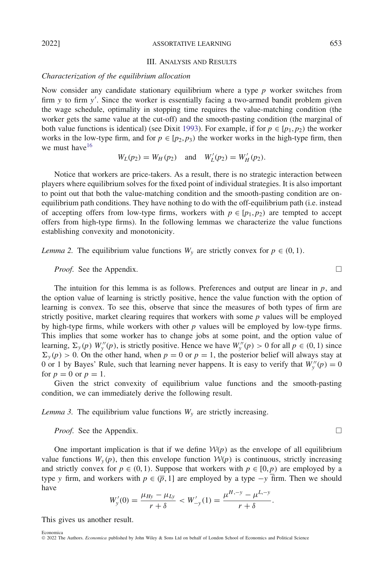#### III. ANALYSIS AND RESULTS

#### *Characterization of the equilibrium allocation*

Now consider any candidate stationary equilibrium where a type *p* worker switches from firm *y* to firm *y* . Since the worker is essentially facing a two-armed bandit problem given the wage schedule, optimality in stopping time requires the value-matching condition (the worker gets the same value at the cut-off) and the smooth-pasting condition (the marginal of both value functions is identical) (see Dixit [1993\)](#page-41-20). For example, if for  $p \in [p_1, p_2)$  the worker works in the low-type firm, and for  $p \in [p_2, p_3]$  the worker works in the high-type firm, then we must have  $16$ 

$$
W_L(p_2) = W_H(p_2)
$$
 and  $W'_L(p_2) = W'_H(p_2)$ .

Notice that workers are price-takers. As a result, there is no strategic interaction between players where equilibrium solves for the fixed point of individual strategies. It is also important to point out that both the value-matching condition and the smooth-pasting condition are onequilibrium path conditions. They have nothing to do with the off-equilibrium path (i.e. instead of accepting offers from low-type firms, workers with  $p \in [p_1, p_2)$  are tempted to accept offers from high-type firms). In the following lemmas we characterize the value functions establishing convexity and monotonicity.

<span id="page-6-0"></span>*Lemma 2.* The equilibrium value functions  $W_y$  are strictly convex for  $p \in (0, 1)$ .

*Proof.* See the Appendix. □

The intuition for this lemma is as follows. Preferences and output are linear in  $p$ , and the option value of learning is strictly positive, hence the value function with the option of learning is convex. To see this, observe that since the measures of both types of firm are strictly positive, market clearing requires that workers with some *p* values will be employed by high-type firms, while workers with other *p* values will be employed by low-type firms. This implies that some worker has to change jobs at some point, and the option value of learning,  $\Sigma_y(p)$   $W''_y(p)$ , is strictly positive. Hence we have  $W''_y(p) > 0$  for all  $p \in (0, 1)$  since  $\Sigma_{\nu}(p) > 0$ . On the other hand, when  $p = 0$  or  $p = 1$ , the posterior belief will always stay at 0 or 1 by Bayes' Rule, such that learning never happens. It is easy to verify that  $W''_y(p) = 0$ for  $p = 0$  or  $p = 1$ .

Given the strict convexity of equilibrium value functions and the smooth-pasting condition, we can immediately derive the following result.

*Lemma 3.* The equilibrium value functions  $W_y$  are strictly increasing.

*Proof.* See the Appendix. □

One important implication is that if we define  $W(p)$  as the envelope of all equilibrium value functions  $W_y(p)$ , then this envelope function  $W(p)$  is continuous, strictly increasing and strictly convex for  $p \in (0, 1)$ . Suppose that workers with  $p \in [0, p)$  are employed by a type *y* firm, and workers with  $p \in (\bar{p}, 1]$  are employed by a type  $-y$  firm. Then we should have

$$
W'_{y}(0) = \frac{\mu_{Hy} - \mu_{Ly}}{r + \delta} < W'_{-y}(1) = \frac{\mu^{H,-y} - \mu^{L,-y}}{r + \delta}.
$$

This gives us another result.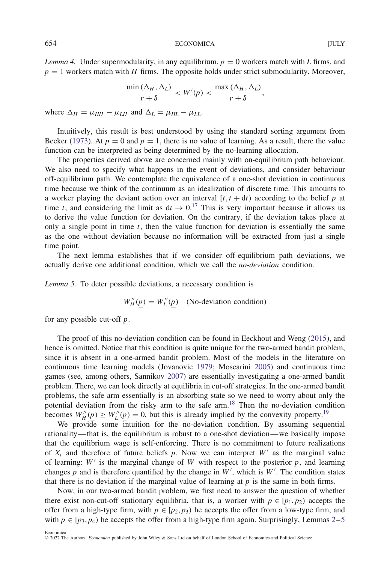<span id="page-7-1"></span>*Lemma 4.* Under supermodularity, in any equilibrium,  $p = 0$  workers match with *L* firms, and  $p = 1$  workers match with *H* firms. The opposite holds under strict submodularity. Moreover,

$$
\frac{\min(\Delta_H, \Delta_L)}{r+\delta} < W'(p) < \frac{\max(\Delta_H, \Delta_L)}{r+\delta},
$$

where  $\Delta_H = \mu_{HH} - \mu_{LH}$  and  $\Delta_L = \mu_{HL} - \mu_{LL}$ .

Intuitively, this result is best understood by using the standard sorting argument from Becker [\(1973\)](#page-41-17). At  $p = 0$  and  $p = 1$ , there is no value of learning. As a result, there the value function can be interpreted as being determined by the no-learning allocation.

The properties derived above are concerned mainly with on-equilibrium path behaviour. We also need to specify what happens in the event of deviations, and consider behaviour off-equilibrium path. We contemplate the equivalence of a one-shot deviation in continuous time because we think of the continuum as an idealization of discrete time. This amounts to a worker playing the deviant action over an interval  $[t, t + dt)$  according to the belief  $p$  at time *t*, and considering the limit as  $dt \rightarrow 0$ .<sup>[17](#page-40-1)</sup> This is very important because it allows us to derive the value function for deviation. On the contrary, if the deviation takes place at only a single point in time  $t$ , then the value function for deviation is essentially the same as the one without deviation because no information will be extracted from just a single time point.

The next lemma establishes that if we consider off-equilibrium path deviations, we actually derive one additional condition, which we call the *no-deviation* condition.

<span id="page-7-0"></span>*Lemma 5.* To deter possible deviations, a necessary condition is

$$
W_H''(\underline{p}) = W_L''(\underline{p})
$$
 (No-deviation condition)

for any possible cut-off *p*.

The proof of this no-deviation condition can be found in Eeckhout and Weng [\(2015\)](#page-41-4), and hence is omitted. Notice that this condition is quite unique for the two-armed bandit problem, since it is absent in a one-armed bandit problem. Most of the models in the literature on continuous time learning models (Jovanovic [1979;](#page-41-0) Moscarini [2005\)](#page-41-3) and continuous time games (see, among others, Sannikov [2007\)](#page-41-13) are essentially investigating a one-armed bandit problem. There, we can look directly at equilibria in cut-off strategies. In the one-armed bandit problems, the safe arm essentially is an absorbing state so we need to worry about only the potential deviation from the risky arm to the safe arm[.18](#page-40-2) Then the no-deviation condition becomes  $W_{H}''(p) \ge W_{L}''(p) = 0$ , but this is already implied by the convexity property.<sup>19</sup>

We provide some intuition for the no-deviation condition. By assuming sequential rationality—that is, the equilibrium is robust to a one-shot deviation—we basically impose that the equilibrium wage is self-enforcing. There is no commitment to future realizations of  $X_t$  and therefore of future beliefs p. Now we can interpret  $W'$  as the marginal value of learning:  $W'$  is the marginal change of  $W$  with respect to the posterior  $p$ , and learning changes  $p$  and is therefore quantified by the change in  $W'$ , which is  $W'$ . The condition states that there is no deviation if the marginal value of learning at *p* is the same in both firms.

Now, in our two-armed bandit problem, we first need to answer the question of whether there exist non-cut-off stationary equilibria, that is, a worker with  $p \in [p_1, p_2)$  accepts the offer from a high-type firm, with  $p \in [p_2, p_3)$  he accepts the offer from a low-type firm, and with  $p \in [p_3, p_4)$  he accepts the offer from a high-type firm again. Surprisingly, Lemmas [2–](#page-6-0)[5](#page-7-0)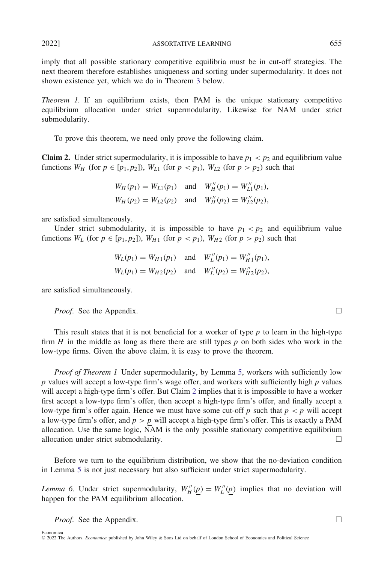2022] ASSORTATIVE LEARNING 655

imply that all possible stationary competitive equilibria must be in cut-off strategies. The next theorem therefore establishes uniqueness and sorting under supermodularity. It does not shown existence yet, which we do in Theorem [3](#page-14-0) below.

<span id="page-8-1"></span>*Theorem 1.* If an equilibrium exists, then PAM is the unique stationary competitive equilibrium allocation under strict supermodularity. Likewise for NAM under strict submodularity.

To prove this theorem, we need only prove the following claim.

<span id="page-8-0"></span>**Claim 2.** Under strict supermodularity, it is impossible to have  $p_1 < p_2$  and equilibrium value functions  $W_H$  (for  $p \in [p_1, p_2]$ ),  $W_{L1}$  (for  $p < p_1$ ),  $W_{L2}$  (for  $p > p_2$ ) such that

$$
W_H(p_1) = W_{L1}(p_1) \text{ and } W_H''(p_1) = W_{L1}''(p_1),
$$
  
\n
$$
W_H(p_2) = W_{L2}(p_2) \text{ and } W_H''(p_2) = W_{L2}''(p_2),
$$

are satisfied simultaneously.

Under strict submodularity, it is impossible to have  $p_1 < p_2$  and equilibrium value functions  $W_L$  (for  $p \in [p_1, p_2]$ ),  $W_{H1}$  (for  $p < p_1$ ),  $W_{H2}$  (for  $p > p_2$ ) such that

$$
W_L(p_1) = W_{H1}(p_1) \text{ and } W_L''(p_1) = W_{H1}''(p_1),
$$
  
\n
$$
W_L(p_1) = W_{H2}(p_2) \text{ and } W_L''(p_2) = W_{H2}''(p_2),
$$

are satisfied simultaneously.

*Proof.* See the Appendix.

This result states that it is not beneficial for a worker of type *p* to learn in the high-type firm  $H$  in the middle as long as there there are still types  $p$  on both sides who work in the low-type firms. Given the above claim, it is easy to prove the theorem.

*Proof of Theorem 1.* Under supermodularity, by Lemma [5,](#page-7-0) workers with sufficiently low *p* values will accept a low-type firm's wage offer, and workers with sufficiently high *p* values will accept a high-type firm's offer. But Claim [2](#page-8-0) implies that it is impossible to have a worker first accept a low-type firm's offer, then accept a high-type firm's offer, and finally accept a low-type firm's offer again. Hence we must have some cut-off  $p$  such that  $p < p$  will accept a low-type firm's offer, and  $p > p$  will accept a high-type firm's offer. This is exactly a PAM allocation. Use the same logic, NAM is the only possible stationary competitive equilibrium allocation under strict submodularity.  $\Box$ 

Before we turn to the equilibrium distribution, we show that the no-deviation condition in Lemma [5](#page-7-0) is not just necessary but also sufficient under strict supermodularity.

<span id="page-8-2"></span>*Lemma 6.* Under strict supermodularity,  $W''_H(p) = W''_L(p)$  implies that no deviation will happen for the PAM equilibrium allocation.

*Proof.* See the Appendix.

 $\Box$ 

 $\Box$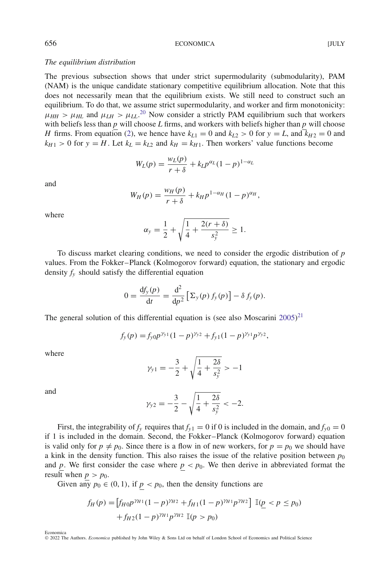# *The equilibrium distribution*

The previous subsection shows that under strict supermodularity (submodularity), PAM (NAM) is the unique candidate stationary competitive equilibrium allocation. Note that this does not necessarily mean that the equilibrium exists. We still need to construct such an equilibrium. To do that, we assume strict supermodularity, and worker and firm monotonicity:  $\mu_{HH} > \mu_{HL}$  and  $\mu_{LH} > \mu_{LL}$ <sup>[20](#page-40-4)</sup> Now consider a strictly PAM equilibrium such that workers with beliefs less than *p* will choose *L* firms, and workers with beliefs higher than *p* will choose *H* firms. From equation [\(2\)](#page-5-0), we hence have  $k_{L1} = 0$  and  $k_{L2} > 0$  for  $y = L$ , and  $\overline{k}_{H2} = 0$  and  $k_{H1} > 0$  for  $y = H$ . Let  $k_L = k_{L2}$  and  $k_H = k_{H1}$ . Then workers' value functions become

$$
W_L(p) = \frac{w_L(p)}{r+\delta} + k_L p^{\alpha_L} (1-p)^{1-\alpha_L}
$$

and

$$
W_H(p) = \frac{w_H(p)}{r + \delta} + k_H p^{1 - \alpha_H} (1 - p)^{\alpha_H},
$$

where

$$
\alpha_{y} = \frac{1}{2} + \sqrt{\frac{1}{4} + \frac{2(r+\delta)}{s_{y}^{2}}} \ge 1.
$$

To discuss market clearing conditions, we need to consider the ergodic distribution of *p* values. From the Fokker–Planck (Kolmogorov forward) equation, the stationary and ergodic density  $f_y$  should satisfy the differential equation

$$
0 = \frac{\mathrm{d}f_y(p)}{\mathrm{d}t} = \frac{\mathrm{d}^2}{\mathrm{d}p^2} \left[ \Sigma_y(p) f_y(p) \right] - \delta f_y(p).
$$

The general solution of this differential equation is (see also Moscarini  $2005)^{21}$  $2005)^{21}$  $2005)^{21}$  $2005)^{21}$ 

$$
f_{y}(p) = f_{y0}p^{\gamma_{y1}}(1-p)^{\gamma_{y2}} + f_{y1}(1-p)^{\gamma_{y1}}p^{\gamma_{y2}},
$$

where

$$
\gamma_{y1} = -\frac{3}{2} + \sqrt{\frac{1}{4} + \frac{2\delta}{s_y^2}} > -1
$$

and

$$
\gamma_{y2} = -\frac{3}{2} - \sqrt{\frac{1}{4} + \frac{2\delta}{s_y^2}} < -2.
$$

First, the integrability of  $f_y$  requires that  $f_{y1} = 0$  if 0 is included in the domain, and  $f_{y0} = 0$ if 1 is included in the domain. Second, the Fokker–Planck (Kolmogorov forward) equation is valid only for  $p \neq p_0$ . Since there is a flow in of new workers, for  $p = p_0$  we should have a kink in the density function. This also raises the issue of the relative position between  $p_0$ and *p*. We first consider the case where  $p < p_0$ . We then derive in abbreviated format the result when  $p > p_0$ .

Given any  $p_0 \in (0, 1)$ , if  $p < p_0$ , then the density functions are

$$
f_H(p) = \left[ f_{H0} p^{\gamma_{H1}} (1-p)^{\gamma_{H2}} + f_{H1} (1-p)^{\gamma_{H1}} p^{\gamma_{H2}} \right] \mathbb{I}(\underline{p} < p \le p_0) \\
+ f_{H2} (1-p)^{\gamma_{H1}} p^{\gamma_{H2}} \mathbb{I}(p > p_0)
$$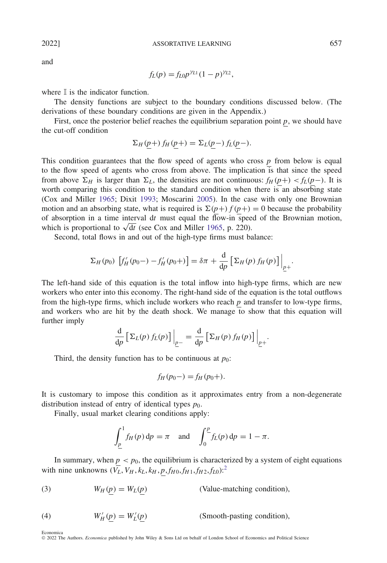and

$$
f_L(p) = f_{L0} p^{\gamma_{L1}} (1 - p)^{\gamma_{L2}},
$$

where  $\mathbb I$  is the indicator function.

The density functions are subject to the boundary conditions discussed below. (The derivations of these boundary conditions are given in the Appendix.)

First, once the posterior belief reaches the equilibrium separation point *p*, we should have the cut-off condition

$$
\Sigma_H(p+) f_H(p+) = \Sigma_L(p-) f_L(p-).
$$

This condition guarantees that the flow speed of agents who cross *p* from below is equal to the flow speed of agents who cross from above. The implication is that since the speed from above  $\Sigma_H$  is larger than  $\Sigma_L$ , the densities are not continuous:  $f_H(p+) < f_L(p-)$ . It is worth comparing this condition to the standard condition when there is an absorbing state (Cox and Miller [1965;](#page-41-21) Dixit [1993;](#page-41-20) Moscarini [2005\)](#page-41-3). In the case with only one Brownian motion and an absorbing state, what is required is  $\Sigma(p+) f(p+) = 0$  because the probability of absorption in a time interval d*t* must equal the flow-in speed of the Brownian motion, which is proportional to  $\sqrt{dt}$  (see Cox and Miller [1965,](#page-41-21) p. 220).

Second, total flows in and out of the high-type firms must balance:

$$
\Sigma_H(p_0) \left[ f'_H(p_0-) - f'_H(p_0+) \right] = \delta \pi + \frac{d}{dp} \left[ \Sigma_H(p) f_H(p) \right] \Big|_{p+}.
$$

The left-hand side of this equation is the total inflow into high-type firms, which are new workers who enter into this economy. The right-hand side of the equation is the total outflows from the high-type firms, which include workers who reach *p* and transfer to low-type firms, and workers who are hit by the death shock. We manage to show that this equation will further imply

$$
\frac{\mathrm{d}}{\mathrm{d}p} \left[ \Sigma_L(p) f_L(p) \right] \Big|_{p-} = \frac{\mathrm{d}}{\mathrm{d}p} \left[ \Sigma_H(p) f_H(p) \right] \Big|_{p+}.
$$

Third, the density function has to be continuous at  $p_0$ :

$$
f_H(p_0-) = f_H(p_0+).
$$

It is customary to impose this condition as it approximates entry from a non-degenerate distribution instead of entry of identical types  $p_0$ .

Finally, usual market clearing conditions apply:

$$
\int_{\underline{p}}^1 f_H(p) dp = \pi \quad \text{and} \quad \int_0^{\underline{p}} f_L(p) dp = 1 - \pi.
$$

In summary, when  $p < p_0$ , the equilibrium is characterized by a system of eight equations with nine unknowns  $(\bar{V}_L, V_H, k_L, k_H, p, f_{H0}, f_{H1}, f_{H2}, f_{L0})$  $(\bar{V}_L, V_H, k_L, k_H, p, f_{H0}, f_{H1}, f_{H2}, f_{L0})$  $(\bar{V}_L, V_H, k_L, k_H, p, f_{H0}, f_{H1}, f_{H2}, f_{L0})$ :<sup>2</sup>

<span id="page-10-0"></span>(3) 
$$
W_H(p) = W_L(p)
$$
 (Value-matching condition),

 $W'_H(\underline{p}) = W'_L$ (4)  $W'_H(p) = W'_I(p)$  (Smooth-pasting condition),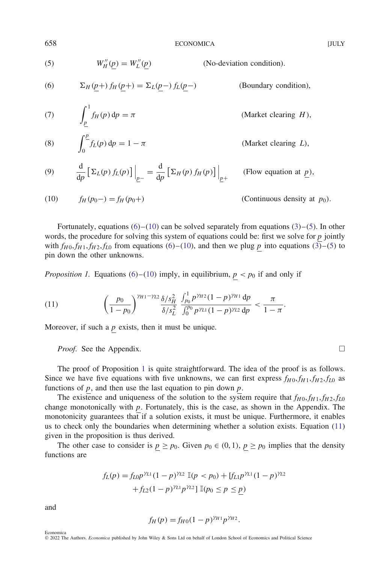(6) *<sup>H</sup> (p*+*) fH (p*+*)* = *L(p*−*) fL(p*−*)* (Boundary condition),

<span id="page-11-2"></span>(5) 
$$
W_H''(\underline{p}) = W_L''(\underline{p})
$$
 (No-deviation condition).

<span id="page-11-0"></span>(6) 
$$
\Sigma_H(\underline{p}+) f_H(\underline{p}+) = \Sigma_L(\underline{p} -) f_L(\underline{p} -)
$$

<span id="page-11-7"></span>(7) 
$$
\int_{\underline{p}}^{1} f_H(p) dp = \pi
$$
 (Market clearing *H*),

<span id="page-11-6"></span>(8) 
$$
\int_0^p f_L(p) dp = 1 - \pi
$$
 (Market clearing *L*),

<span id="page-11-5"></span>(9) 
$$
\frac{d}{dp} \left[ \Sigma_L(p) f_L(p) \right] \Big|_{p^-} = \frac{d}{dp} \left[ \Sigma_H(p) f_H(p) \right] \Big|_{p^+}
$$
 (Flow equation at *p*),

<span id="page-11-1"></span>(10) 
$$
f_H(p_0-) = f_H(p_0+)
$$
 (Continuous density at  $p_0$ ).

Fortunately, equations  $(6)-(10)$  $(6)-(10)$  $(6)-(10)$  can be solved separately from equations  $(3)-(5)$  $(3)-(5)$  $(3)-(5)$ . In other words, the procedure for solving this system of equations could be: first we solve for *p* jointly with  $f_{H0}$ ,  $f_{H1}$ ,  $f_{H2}$ ,  $f_{L0}$  from equations [\(6\)](#page-11-0)–[\(10\)](#page-11-1), and then we plug *p* into equations [\(3\)](#page-10-0)–[\(5\)](#page-11-2) to pin down the other unknowns.

<span id="page-11-3"></span>*Proposition 1.* Equations [\(6\)](#page-11-0)–[\(10\)](#page-11-1) imply, in equilibrium,  $p < p_0$  if and only if

<span id="page-11-4"></span>(11) 
$$
\left(\frac{p_0}{1-p_0}\right)^{\gamma_{H1}-\gamma_{L2}}\frac{\delta/s_H^2}{\delta/s_L^2}\frac{\int_{p_0}^1 p^{\gamma_{H2}}(1-p)^{\gamma_{H1}} dp}{\int_0^{p_0} p^{\gamma_{L1}}(1-p)^{\gamma_{L2}} dp} < \frac{\pi}{1-\pi}.
$$

Moreover, if such a  $p$  exists, then it must be unique.

*Proof.* See the Appendix.  $\Box$ 

The proof of Proposition [1](#page-11-3) is quite straightforward. The idea of the proof is as follows. Since we have five equations with five unknowns, we can first express  $f_{H0}$ ,  $f_{H1}$ ,  $f_{H2}$ ,  $f_{L0}$  as functions of *p*, and then use the last equation to pin down *p*.

The existence and uniqueness of the solution to the system require that  $f_{H0}$ ,  $f_{H1}$ ,  $f_{H2}$ ,  $f_{L0}$ change monotonically with *p*. Fortunately, this is the case, as shown in the Appendix. The monotonicity guarantees that if a solution exists, it must be unique. Furthermore, it enables us to check only the boundaries when determining whether a solution exists. Equation [\(11\)](#page-11-4) given in the proposition is thus derived.

The other case to consider is  $p \ge p_0$ . Given  $p_0 \in (0, 1)$ ,  $p \ge p_0$  implies that the density functions are

$$
f_L(p) = f_{L0} p^{\gamma_{L1}} (1-p)^{\gamma_{L2}} \mathbb{I}(p < p_0) + [f_{L1} p^{\gamma_{L1}} (1-p)^{\gamma_{L2}} + f_{L2} (1-p)^{\gamma_{L1}} p^{\gamma_{L2}}] \mathbb{I}(p_0 \le p \le p)
$$

and

$$
f_H(p) = f_{H0}(1-p)^{\gamma_{H1}}p^{\gamma_{H2}}.
$$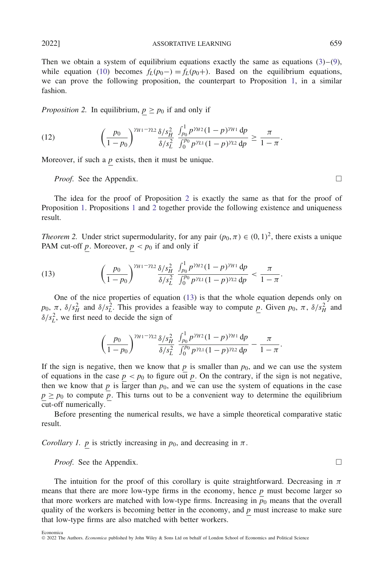Then we obtain a system of equilibrium equations exactly the same as equations  $(3)-(9)$  $(3)-(9)$  $(3)-(9)$ , while equation [\(10\)](#page-11-1) becomes  $f_L(p_0) = f_L(p_0)$ . Based on the equilibrium equations, we can prove the following proposition, the counterpart to Proposition [1,](#page-11-3) in a similar fashion.

<span id="page-12-0"></span>*Proposition 2.* In equilibrium,  $p \geq p_0$  if and only if

(12) 
$$
\left(\frac{p_0}{1-p_0}\right)^{\gamma_{H1}-\gamma_{L2}}\frac{\delta/s_H^2}{\delta/s_L^2}\frac{\int_{p_0}^1 p^{\gamma_{H2}}(1-p)^{\gamma_{H1}} dp}{\int_0^{p_0} p^{\gamma_{L1}}(1-p)^{\gamma_{L2}} dp} \ge \frac{\pi}{1-\pi}.
$$

<span id="page-12-3"></span>Moreover, if such a *p* exists, then it must be unique.

*Proof.* See the Appendix. □

The idea for the proof of Proposition [2](#page-12-0) is exactly the same as that for the proof of Proposition [1.](#page-11-3) Propositions [1](#page-11-3) and [2](#page-12-0) together provide the following existence and uniqueness result.

<span id="page-12-2"></span>*Theorem 2.* Under strict supermodularity, for any pair  $(p_0, \pi) \in (0, 1)^2$ , there exists a unique PAM cut-off *p*. Moreover,  $p < p_0$  if and only if

<span id="page-12-1"></span>(13) 
$$
\left(\frac{p_0}{1-p_0}\right)^{\gamma_{H1}-\gamma_{L2}}\frac{\delta/s_H^2}{\delta/s_L^2}\frac{\int_{p_0}^1 p^{\gamma_{H2}}(1-p)^{\gamma_{H1}} dp}{\int_0^{p_0} p^{\gamma_{L1}}(1-p)^{\gamma_{L2}} dp} < \frac{\pi}{1-\pi}.
$$

One of the nice properties of equation [\(13\)](#page-12-1) is that the whole equation depends only on  $p_0$ ,  $\pi$ ,  $\delta/s_H^2$  and  $\delta/s_L^2$ . This provides a feasible way to compute *p*. Given  $p_0$ ,  $\pi$ ,  $\delta/s_H^2$  and  $\delta/s_L^2$ , we first need to decide the sign of

$$
\left(\frac{p_0}{1-p_0}\right)^{\gamma_{H1}-\gamma_{L2}}\frac{\delta/s_H^2}{\delta/s_L^2}\,\frac{\int_{p_0}^1 p^{\gamma_{H2}}(1-p)^{\gamma_{H1}}\,\mathrm{d}p}{\int_0^{p_0} p^{\gamma_{L1}}(1-p)^{\gamma_{L2}}\,\mathrm{d}p}-\frac{\pi}{1-\pi}.
$$

If the sign is negative, then we know that  $p$  is smaller than  $p_0$ , and we can use the system of equations in the case  $p < p_0$  to figure out p. On the contrary, if the sign is not negative, then we know that  $p$  is larger than  $p_0$ , and we can use the system of equations in the case  $p \geq p_0$  to compute  $\overline{p}$ . This turns out to be a convenient way to determine the equilibrium cut-off numerically.

Before presenting the numerical results, we have a simple theoretical comparative static result.

*Corollary 1. p* is strictly increasing in  $p_0$ , and decreasing in  $\pi$ .

*Proof.* See the Appendix. □

Economica

The intuition for the proof of this corollary is quite straightforward. Decreasing in  $\pi$ means that there are more low-type firms in the economy, hence *p* must become larger so that more workers are matched with low-type firms. Increasing in  $p<sub>0</sub>$  means that the overall quality of the workers is becoming better in the economy, and *p* must increase to make sure that low-type firms are also matched with better workers.

<sup>©</sup> 2022 The Authors. *Economica* published by John Wiley & Sons Ltd on behalf of London School of Economics and Political Science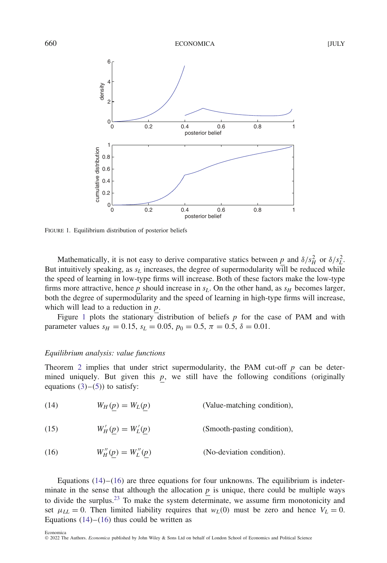

<span id="page-13-0"></span>FIGURE 1. Equilibrium distribution of posterior beliefs

Mathematically, it is not easy to derive comparative statics between  $\underline{p}$  and  $\delta/s_H^2$  or  $\delta/s_L^2$ . But intuitively speaking, as  $s<sub>L</sub>$  increases, the degree of supermodularity will be reduced while the speed of learning in low-type firms will increase. Both of these factors make the low-type firms more attractive, hence  $p$  should increase in  $s<sub>L</sub>$ . On the other hand, as  $s<sub>H</sub>$  becomes larger, both the degree of supermodularity and the speed of learning in high-type firms will increase, which will lead to a reduction in *p*.

Figure [1](#page-13-0) plots the stationary distribution of beliefs *p* for the case of PAM and with parameter values  $s_H = 0.15$ ,  $s_L = 0.05$ ,  $p_0 = 0.5$ ,  $\pi = 0.5$ ,  $\delta = 0.01$ .

# *Equilibrium analysis: value functions*

Theorem [2](#page-12-2) implies that under strict supermodularity, the PAM cut-off *p* can be determined uniquely. But given this  $p$ , we still have the following conditions (originally equations  $(3)-(5)$  $(3)-(5)$  $(3)-(5)$ ) to satisfy:

<span id="page-13-1"></span>(14) 
$$
W_H(p) = W_L(p)
$$
 (Value-matching condition),

(15) 
$$
W'_H(\underline{p}) = W'_L(\underline{p})
$$
 (Smooth-pasting condition),

<span id="page-13-2"></span>(16) 
$$
W_H''(\underline{p}) = W_L''(\underline{p})
$$
 (No-deviation condition).

Equations  $(14)$ – $(16)$  are three equations for four unknowns. The equilibrium is indeterminate in the sense that although the allocation  $p$  is unique, there could be multiple ways to divide the surplus.<sup>[23](#page-40-6)</sup> To make the system determinate, we assume firm monotonicity and set  $\mu_{LL} = 0$ . Then limited liability requires that  $w_L(0)$  must be zero and hence  $V_L = 0$ . Equations  $(14)$ – $(16)$  thus could be written as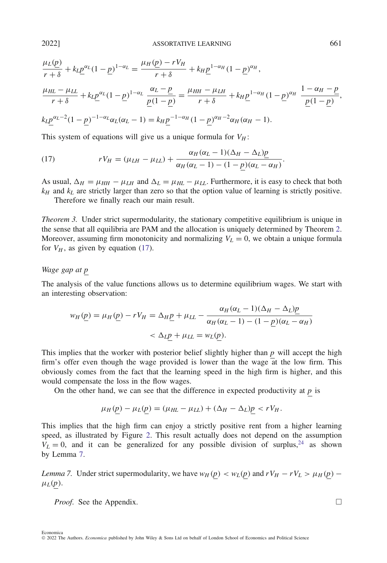$$
\frac{\mu_L(\underline{p})}{r+\delta} + k_L \underline{p}^{\alpha_L} (1-\underline{p})^{1-\alpha_L} = \frac{\mu_H(\underline{p}) - rV_H}{r+\delta} + k_H \underline{p}^{1-\alpha_H} (1-\underline{p})^{\alpha_H},
$$
\n
$$
\frac{\mu_{HL} - \mu_{LL}}{r+\delta} + k_L \underline{p}^{\alpha_L} (1-\underline{p})^{1-\alpha_L} \frac{\alpha_L - \underline{p}}{\underline{p}(1-\underline{p})} = \frac{\mu_{HH} - \mu_{LH}}{r+\delta} + k_H \underline{p}^{1-\alpha_H} (1-\underline{p})^{\alpha_H} \frac{1-\alpha_H - \underline{p}}{\underline{p}(1-\underline{p})},
$$
\n
$$
k_L \underline{p}^{\alpha_L - 2} (1-\underline{p})^{-1-\alpha_L} \alpha_L (\alpha_L - 1) = k_H \underline{p}^{-1-\alpha_H} (1-\underline{p})^{\alpha_H - 2} \alpha_H (\alpha_H - 1).
$$

This system of equations will give us a unique formula for  $V_H$ :

<span id="page-14-1"></span>(17) 
$$
rV_H = (\mu_{LH} - \mu_{LL}) + \frac{\alpha_H(\alpha_L - 1)(\Delta_H - \Delta_L)p}{\alpha_H(\alpha_L - 1) - (1 - p)(\alpha_L - \alpha_H)}.
$$

As usual,  $\Delta_H = \mu_{HH} - \mu_{LH}$  and  $\Delta_L = \mu_{HL} - \mu_{LL}$ . Furthermore, it is easy to check that both  $k_H$  and  $k_L$  are strictly larger than zero so that the option value of learning is strictly positive.

Therefore we finally reach our main result.

<span id="page-14-0"></span>*Theorem 3.* Under strict supermodularity, the stationary competitive equilibrium is unique in the sense that all equilibria are PAM and the allocation is uniquely determined by Theorem [2.](#page-12-2) Moreover, assuming firm monotonicity and normalizing  $V<sub>L</sub> = 0$ , we obtain a unique formula for  $V_H$ , as given by equation [\(17\)](#page-14-1).

# *Wage gap at p*

The analysis of the value functions allows us to determine equilibrium wages. We start with an interesting observation:

$$
w_H(\underline{p}) = \mu_H(\underline{p}) - rV_H = \Delta_H \underline{p} + \mu_{LL} - \frac{\alpha_H(\alpha_L - 1)(\Delta_H - \Delta_L)\underline{p}}{\alpha_H(\alpha_L - 1) - (1 - \underline{p})(\alpha_L - \alpha_H)}
$$
  
< 
$$
< \Delta_L p + \mu_{LL} = w_L(p).
$$

This implies that the worker with posterior belief slightly higher than *p* will accept the high firm's offer even though the wage provided is lower than the wage at the low firm. This obviously comes from the fact that the learning speed in the high firm is higher, and this would compensate the loss in the flow wages.

On the other hand, we can see that the difference in expected productivity at  $p$  is

$$
\mu_H(p) - \mu_L(p) = (\mu_{HL} - \mu_{LL}) + (\Delta_H - \Delta_L)p < rV_H.
$$

This implies that the high firm can enjoy a strictly positive rent from a higher learning speed, as illustrated by Figure [2.](#page-15-0) This result actually does not depend on the assumption  $V_L = 0$ , and it can be generalized for any possible division of surplus,<sup>[24](#page-40-7)</sup> as shown by Lemma [7.](#page-14-2)

<span id="page-14-2"></span>*Lemma 7.* Under strict supermodularity, we have  $w_H(p) < w_L(p)$  and  $rV_H - rV_L > \mu_H(p)$  −  $μ<sub>L</sub>(p)$ .

*Proof.* See the Appendix. □

Economica

<sup>©</sup> 2022 The Authors. *Economica* published by John Wiley & Sons Ltd on behalf of London School of Economics and Political Science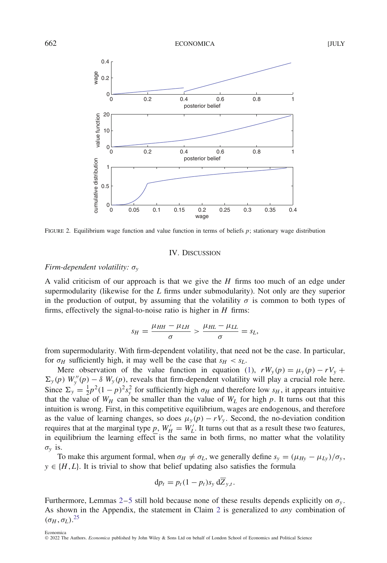

<span id="page-15-0"></span>FIGURE 2. Equilibrium wage function and value function in terms of beliefs *p*; stationary wage distribution

#### IV. DISCUSSION

# *Firm-dependent volatility: σ<sup>y</sup>*

A valid criticism of our approach is that we give the *H* firms too much of an edge under supermodularity (likewise for the *L* firms under submodularity). Not only are they superior in the production of output, by assuming that the volatility  $\sigma$  is common to both types of firms, effectively the signal-to-noise ratio is higher in *H* firms:

$$
s_H = \frac{\mu_{HH} - \mu_{LH}}{\sigma} > \frac{\mu_{HL} - \mu_{LL}}{\sigma} = s_L,
$$

from supermodularity. With firm-dependent volatility, that need not be the case. In particular, for  $\sigma_H$  sufficiently high, it may well be the case that  $s_H < s_L$ .

Mere observation of the value function in equation [\(1\)](#page-5-1),  $rW_v(p) = \mu_v(p) - rV_v +$  $\sum_{y}(p)$  *W*<sup>*y*</sup>(*p*) − *δ W*<sub>*y*</sub>(*p*), reveals that firm-dependent volatility will play a crucial role here. Since  $\Sigma_y = \frac{1}{2}p^2(1-p)^2 s_y^2$  for sufficiently high  $\sigma_H$  and therefore low  $s_H$ , it appears intuitive that the value of  $W_H$  can be smaller than the value of  $W_L$  for high  $p$ . It turns out that this intuition is wrong. First, in this competitive equilibrium, wages are endogenous, and therefore as the value of learning changes, so does  $\mu_y(p) - rV_y$ . Second, the no-deviation condition requires that at the marginal type  $\underline{p}$ ,  $W'_H = W'_L$ . It turns out that as a result these two features, in equilibrium the learning effect is the same in both firms, no matter what the volatility  $\sigma_v$  is.

To make this argument formal, when  $\sigma_H \neq \sigma_L$ , we generally define  $s_y = (\mu_{H_y} - \mu_{I_y})/\sigma_y$ ,  $y \in \{H, L\}$ . It is trivial to show that belief updating also satisfies the formula

$$
\mathrm{d}p_t = p_t(1-p_t)s_y\,\mathrm{d}\overline{Z}_{y,t}.
$$

Furthermore, Lemmas [2](#page-6-0)[–5](#page-7-0) still hold because none of these results depends explicitly on *σ<sup>y</sup>* . As shown in the Appendix, the statement in Claim [2](#page-8-0) is generalized to *any* combination of *(σH*</sub> , *σ*<sub>*L*</sub>).<sup>[25](#page-40-8)</sup>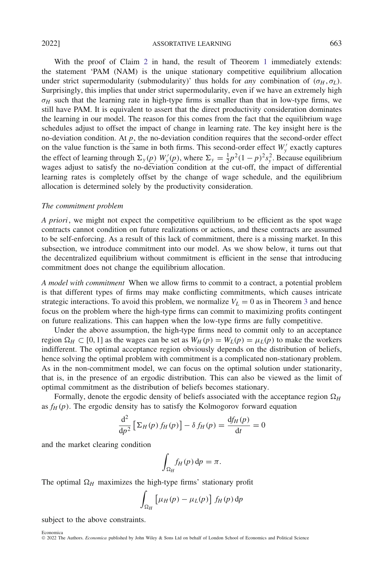With the proof of Claim [2](#page-8-0) in hand, the result of Theorem [1](#page-8-1) immediately extends: the statement 'PAM (NAM) is the unique stationary competitive equilibrium allocation under strict supermodularity (submodularity)' thus holds for *any* combination of  $(\sigma_H, \sigma_L)$ . Surprisingly, this implies that under strict supermodularity, even if we have an extremely high  $\sigma$ *H* such that the learning rate in high-type firms is smaller than that in low-type firms, we still have PAM. It is equivalent to assert that the direct productivity consideration dominates the learning in our model. The reason for this comes from the fact that the equilibrium wage schedules adjust to offset the impact of change in learning rate. The key insight here is the no-deviation condition. At *p*, the no-deviation condition requires that the second-order effect on the value function is the same in both firms. This second-order effect  $W'_y$  exactly captures the effect of learning through  $\Sigma_y(p)$   $W'_y(p)$ , where  $\Sigma_y = \frac{1}{2}p^2(1-p)^2s_y^2$ . Because equilibrium wages adjust to satisfy the no-deviation condition at the cut-off, the impact of differential learning rates is completely offset by the change of wage schedule, and the equilibrium allocation is determined solely by the productivity consideration.

### *The commitment problem*

*A priori*, we might not expect the competitive equilibrium to be efficient as the spot wage contracts cannot condition on future realizations or actions, and these contracts are assumed to be self-enforcing. As a result of this lack of commitment, there is a missing market. In this subsection, we introduce commitment into our model. As we show below, it turns out that the decentralized equilibrium without commitment is efficient in the sense that introducing commitment does not change the equilibrium allocation.

*A model with commitment* When we allow firms to commit to a contract, a potential problem is that different types of firms may make conflicting commitments, which causes intricate strategic interactions. To avoid this problem, we normalize  $V<sub>L</sub> = 0$  as in Theorem [3](#page-14-0) and hence focus on the problem where the high-type firms can commit to maximizing profits contingent on future realizations. This can happen when the low-type firms are fully competitive.

Under the above assumption, the high-type firms need to commit only to an acceptance region  $\Omega_H \subset [0, 1]$  as the wages can be set as  $W_H(p) = W_L(p) = \mu_L(p)$  to make the workers indifferent. The optimal acceptance region obviously depends on the distribution of beliefs, hence solving the optimal problem with commitment is a complicated non-stationary problem. As in the non-commitment model, we can focus on the optimal solution under stationarity, that is, in the presence of an ergodic distribution. This can also be viewed as the limit of optimal commitment as the distribution of beliefs becomes stationary.

Formally, denote the ergodic density of beliefs associated with the acceptance region  $\Omega_H$ as  $f_H(p)$ . The ergodic density has to satisfy the Kolmogorov forward equation

$$
\frac{\mathrm{d}^2}{\mathrm{d}p^2} \left[ \Sigma_H(p) f_H(p) \right] - \delta f_H(p) = \frac{\mathrm{d} f_H(p)}{\mathrm{d} t} = 0
$$

and the market clearing condition

$$
\int_{\Omega_H} f_H(p) \, \mathrm{d}p = \pi.
$$

The optimal  $\Omega$ <sub>H</sub> maximizes the high-type firms' stationary profit

$$
\int_{\Omega_H} \left[ \mu_H(p) - \mu_L(p) \right] f_H(p) \, \mathrm{d} p
$$

subject to the above constraints.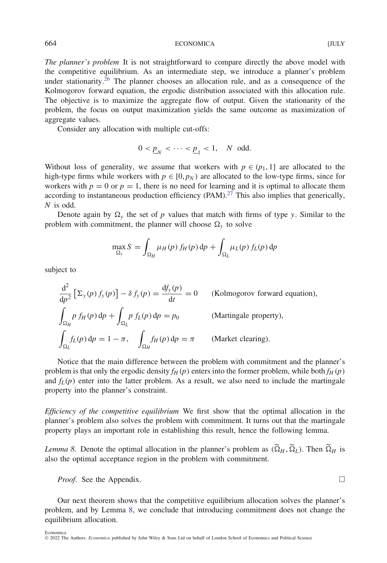664 ECONOMICA ECONOMICA

*The planner's problem* It is not straightforward to compare directly the above model with the competitive equilibrium. As an intermediate step, we introduce a planner's problem under stationarity.<sup>26</sup> The planner chooses an allocation rule, and as a consequence of the Kolmogorov forward equation, the ergodic distribution associated with this allocation rule. The objective is to maximize the aggregate flow of output. Given the stationarity of the problem, the focus on output maximization yields the same outcome as maximization of aggregate values.

Consider any allocation with multiple cut-offs:

$$
0 < \underline{p}_N < \cdots < \underline{p}_1 < 1, \quad N \text{ odd.}
$$

Without loss of generality, we assume that workers with  $p \in (p_1, 1]$  are allocated to the high-type firms while workers with  $p \in [0, p_N)$  are allocated to the low-type firms, since for workers with  $p = 0$  or  $p = 1$ , there is no need for learning and it is optimal to allocate them according to instantaneous production efficiency  $(PAM)<sup>27</sup>$  $(PAM)<sup>27</sup>$  $(PAM)<sup>27</sup>$  This also implies that generically, *N* is odd.

Denote again by  $\Omega$ <sub>*y*</sub> the set of *p* values that match with firms of type *y*. Similar to the problem with commitment, the planner will choose  $\Omega$ <sub>y</sub> to solve

$$
\max_{\Omega_y} S = \int_{\Omega_H} \mu_H(p) f_H(p) dp + \int_{\Omega_L} \mu_L(p) f_L(p) dp
$$

subject to

$$
\frac{d^2}{dp^2} \left[ \Sigma_y(p) f_y(p) \right] - \delta f_y(p) = \frac{df_y(p)}{dt} = 0 \qquad \text{(Kolmogorov forward equation)},
$$
\n
$$
\int_{\Omega_H} p f_H(p) dp + \int_{\Omega_L} p f_L(p) dp = p_0 \qquad \text{(Martingale property)},
$$
\n
$$
\int_{\Omega_L} f_L(p) dp = 1 - \pi, \quad \int_{\Omega_H} f_H(p) dp = \pi \qquad \text{(Market clearing)}.
$$

Notice that the main difference between the problem with commitment and the planner's problem is that only the ergodic density  $f_H(p)$  enters into the former problem, while both  $f_H(p)$ and  $f_L(p)$  enter into the latter problem. As a result, we also need to include the martingale property into the planner's constraint.

*Efficiency of the competitive equilibrium* We first show that the optimal allocation in the planner's problem also solves the problem with commitment. It turns out that the martingale property plays an important role in establishing this result, hence the following lemma.

<span id="page-17-0"></span>*Lemma 8.* Denote the optimal allocation in the planner's problem as  $(\tilde{\Omega}_H, \tilde{\Omega}_L)$ . Then  $\tilde{\Omega}_H$  is also the optimal acceptance region in the problem with commitment.

*Proof.* See the Appendix.

Our next theorem shows that the competitive equilibrium allocation solves the planner's problem, and by Lemma [8,](#page-17-0) we conclude that introducing commitment does not change the equilibrium allocation.

$$
\Box
$$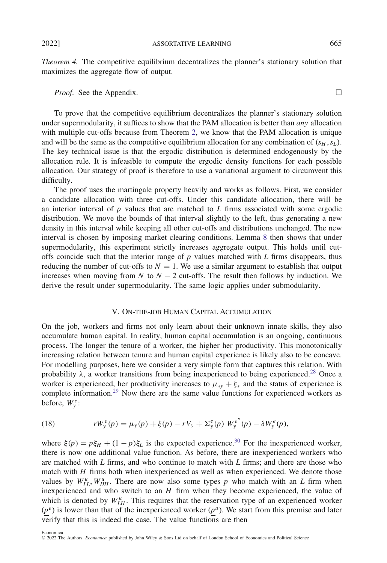2022] ASSORTATIVE LEARNING 665

<span id="page-18-0"></span>*Theorem 4.* The competitive equilibrium decentralizes the planner's stationary solution that maximizes the aggregate flow of output.

# *Proof.* See the Appendix. □

To prove that the competitive equilibrium decentralizes the planner's stationary solution under supermodularity, it suffices to show that the PAM allocation is better than *any* allocation with multiple cut-offs because from Theorem [2,](#page-12-2) we know that the PAM allocation is unique and will be the same as the competitive equilibrium allocation for any combination of  $(s_H, s_L)$ . The key technical issue is that the ergodic distribution is determined endogenously by the allocation rule. It is infeasible to compute the ergodic density functions for each possible allocation. Our strategy of proof is therefore to use a variational argument to circumvent this difficulty.

The proof uses the martingale property heavily and works as follows. First, we consider a candidate allocation with three cut-offs. Under this candidate allocation, there will be an interior interval of *p* values that are matched to *L* firms associated with some ergodic distribution. We move the bounds of that interval slightly to the left, thus generating a new density in this interval while keeping all other cut-offs and distributions unchanged. The new interval is chosen by imposing market clearing conditions. Lemma [8](#page-17-0) then shows that under supermodularity, this experiment strictly increases aggregate output. This holds until cutoffs coincide such that the interior range of *p* values matched with *L* firms disappears, thus reducing the number of cut-offs to  $N = 1$ . We use a similar argument to establish that output increases when moving from *N* to  $N - 2$  cut-offs. The result then follows by induction. We derive the result under supermodularity. The same logic applies under submodularity.

# V. ON-THE-JOB HUMAN CAPITAL ACCUMULATION

On the job, workers and firms not only learn about their unknown innate skills, they also accumulate human capital. In reality, human capital accumulation is an ongoing, continuous process. The longer the tenure of a worker, the higher her productivity. This monotonically increasing relation between tenure and human capital experience is likely also to be concave. For modelling purposes, here we consider a very simple form that captures this relation. With probability  $\lambda$ , a worker transitions from being inexperienced to being experienced.<sup>[28](#page-40-11)</sup> Once a worker is experienced, her productivity increases to  $\mu_{xy} + \xi_x$  and the status of experience is complete information.<sup>[29](#page-40-12)</sup> Now there are the same value functions for experienced workers as before,  $W_y^e$ :

<span id="page-18-1"></span>(18) 
$$
rW_{y}^{e}(p) = \mu_{y}(p) + \xi(p) - rV_{y} + \Sigma_{y}^{e}(p) W_{y}^{e''}(p) - \delta W_{y}^{e}(p),
$$

where  $\xi(p) = p\xi_H + (1 - p)\xi_L$  is the expected experience.<sup>30</sup> For the inexperienced worker, there is now one additional value function. As before, there are inexperienced workers who are matched with *L* firms, and who continue to match with *L* firms; and there are those who match with *H* firms both when inexperienced as well as when experienced. We denote those values by  $W_{LL}^u$ ,  $W_{HH}^u$ . There are now also some types p who match with an L firm when inexperienced and who switch to an *H* firm when they become experienced, the value of which is denoted by  $W_{LH}^u$ . This requires that the reservation type of an experienced worker  $(p<sup>e</sup>)$  is lower than that of the inexperienced worker  $(p<sup>u</sup>)$ . We start from this premise and later verify that this is indeed the case. The value functions are then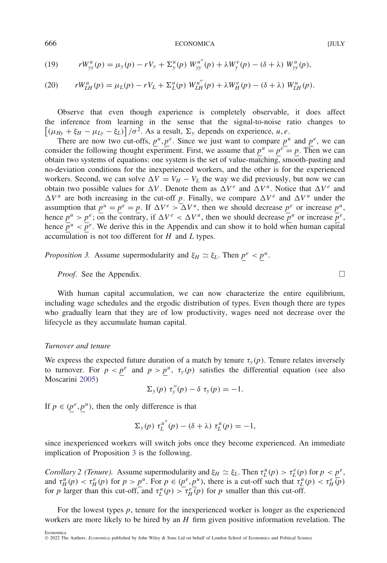(19) 
$$
rW_{yy}^{u}(p) = \mu_{y}(p) - rV_{y} + \Sigma_{y}^{u}(p) W_{yy}^{u''}(p) + \lambda W_{y}^{e}(p) - (\delta + \lambda) W_{yy}^{u}(p),
$$

<span id="page-19-1"></span>(20) 
$$
rW_{LH}^{u}(p) = \mu_L(p) - rV_L + \Sigma_L^u(p) W_{LH}^{u''}(p) + \lambda W_H^e(p) - (\delta + \lambda) W_{LH}^{u}(p).
$$

Observe that even though experience is completely observable, it does affect the inference from learning in the sense that the signal-to-noise ratio changes to  $[(\mu_{Hy} + \xi_H - \mu_{Ly} - \xi_L)]/\sigma^2$ . As a result,  $\Sigma_y$  depends on experience, *u*, *e*.

There are now two cut-offs,  $p^u, p^e$ . Since we just want to compare  $p^u$  and  $p^e$ , we can consider the following thought experiment. First, we assume that  $p^u = p^e = p$ . Then we can obtain two systems of equations: one system is the set of value-matching, smooth-pasting and no-deviation conditions for the inexperienced workers, and the other is for the experienced workers. Second, we can solve  $\Delta V = V_H - V_L$  the way we did previously, but now we can obtain two possible values for  $\Delta V$ . Denote them as  $\Delta V^e$  and  $\Delta V^u$ . Notice that  $\Delta V^e$  and  $\Delta V^u$  are both increasing in the cut-off *p*. Finally, we compare  $\Delta V^e$  and  $\Delta V^u$  under the assumption that  $p^u = p^e = p$ . If  $\Delta V^e > \Delta V^u$ , then we should decrease  $p^e$  or increase  $p^u$ , hence  $p^u > p^e$ ; on the contrary, if  $\Delta V^e < \Delta V^u$ , then we should decrease  $p^u$  or increase  $p^e$ , hence  $\overline{p}^u < \overline{p}^e$ . We derive this in the Appendix and can show it to hold when human capital accumulation is not too different for *H* and *L* types.

<span id="page-19-0"></span>*Proposition 3.* Assume supermodularity and  $\xi_H \simeq \xi_L$ . Then  $p^e < p^u$ .

# *Proof.* See the Appendix. □

With human capital accumulation, we can now characterize the entire equilibrium, including wage schedules and the ergodic distribution of types. Even though there are types who gradually learn that they are of low productivity, wages need not decrease over the lifecycle as they accumulate human capital.

#### *Turnover and tenure*

We express the expected future duration of a match by tenure  $\tau$ <sup>*y*</sup> (*p*). Tenure relates inversely to turnover. For  $p < p^e$  and  $p > p^u$ ,  $\tau_y(p)$  satisfies the differential equation (see also Moscarini [2005\)](#page-41-3)

$$
\Sigma_{y}(p) \tau''_{y}(p) - \delta \tau_{y}(p) = -1.
$$

If  $p \in (p^e, p^u)$ , then the only difference is that

$$
\Sigma_{y}(p) \tau_L^{u''}(p) - (\delta + \lambda) \tau_L^{u}(p) = -1,
$$

since inexperienced workers will switch jobs once they become experienced. An immediate implication of Proposition [3](#page-19-0) is the following.

Corollary 2 (Tenure). Assume supermodularity and  $\xi_H \simeq \xi_L$ . Then  $\tau_L^u(p) > \tau_L^e(p)$  for  $p < \underline{p}^e$ , and  $\tau_H^u(p) < \tau_H^e(p)$  for  $p > \underline{p}^u$ . For  $p \in (\underline{p}^e, \underline{p}^u)$ , there is a cut-off such that  $\tau_L^u(p) < \tau_H^e(\overline{p})$ for *p* larger than this cut-off, and  $\tau_L^u(p) > \tau_H^e(p)$  for *p* smaller than this cut-off.

For the lowest types *p*, tenure for the inexperienced worker is longer as the experienced workers are more likely to be hired by an *H* firm given positive information revelation. The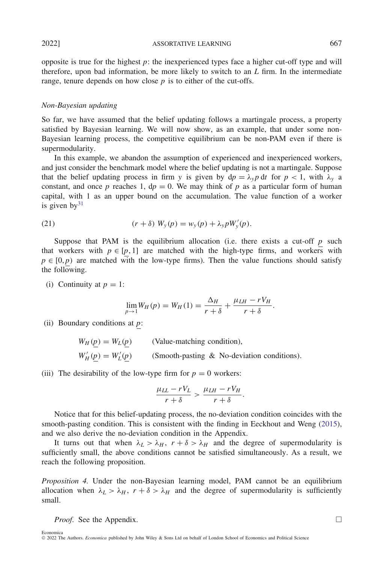2022] ASSORTATIVE LEARNING 667

opposite is true for the highest  $p$ : the inexperienced types face a higher cut-off type and will therefore, upon bad information, be more likely to switch to an *L* firm. In the intermediate range, tenure depends on how close  $p$  is to either of the cut-offs.

# *Non-Bayesian updating*

So far, we have assumed that the belief updating follows a martingale process, a property satisfied by Bayesian learning. We will now show, as an example, that under some non-Bayesian learning process, the competitive equilibrium can be non-PAM even if there is supermodularity.

In this example, we abandon the assumption of experienced and inexperienced workers, and just consider the benchmark model where the belief updating is not a martingale. Suppose that the belief updating process in firm *y* is given by  $dp = \lambda_y p dt$  for  $p < 1$ , with  $\lambda_y$  a constant, and once *p* reaches 1,  $dp = 0$ . We may think of *p* as a particular form of human capital, with 1 as an upper bound on the accumulation. The value function of a worker is given  $by<sup>31</sup>$ 

<span id="page-20-1"></span>(21) 
$$
(r + \delta) W_{y}(p) = w_{y}(p) + \lambda_{y} p W'_{y}(p).
$$

Suppose that PAM is the equilibrium allocation (i.e. there exists a cut-off  $p$  such that workers with  $p \in [p, 1]$  are matched with the high-type firms, and workers with  $p \in [0, p)$  are matched with the low-type firms). Then the value functions should satisfy the following.

(i) Continuity at  $p = 1$ :

$$
\lim_{p \to 1} W_H(p) = W_H(1) = \frac{\Delta_H}{r + \delta} + \frac{\mu_{LH} - rV_H}{r + \delta}.
$$

(ii) Boundary conditions at *p*:

 $W_H(p) = W_L(p)$  (Value-matching condition),  $W'_H(\underline{p}) = W'_L(\underline{p})$  (Smooth-pasting & No-deviation conditions).

(iii) The desirability of the low-type firm for  $p = 0$  workers:

$$
\frac{\mu_{LL} - rV_L}{r + \delta} > \frac{\mu_{LH} - rV_H}{r + \delta}.
$$

Notice that for this belief-updating process, the no-deviation condition coincides with the smooth-pasting condition. This is consistent with the finding in Eeckhout and Weng [\(2015\)](#page-41-4), and we also derive the no-deviation condition in the Appendix.

It turns out that when  $\lambda_L > \lambda_H$ ,  $r + \delta > \lambda_H$  and the degree of supermodularity is sufficiently small, the above conditions cannot be satisfied simultaneously. As a result, we reach the following proposition.

<span id="page-20-0"></span>*Proposition 4.* Under the non-Bayesian learning model, PAM cannot be an equilibrium allocation when  $\lambda_L > \lambda_H$ ,  $r + \delta > \lambda_H$  and the degree of supermodularity is sufficiently small.

*Proof.* See the Appendix. □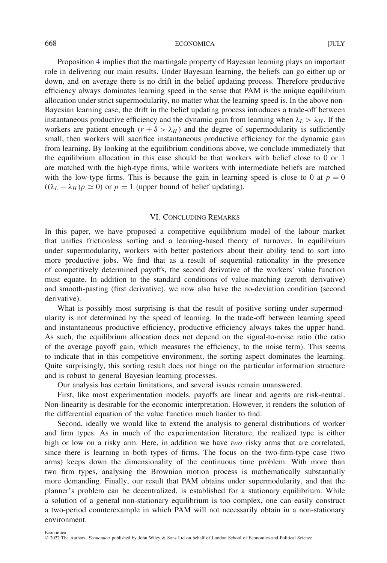Proposition [4](#page-20-0) implies that the martingale property of Bayesian learning plays an important role in delivering our main results. Under Bayesian learning, the beliefs can go either up or down, and on average there is no drift in the belief updating process. Therefore productive efficiency always dominates learning speed in the sense that PAM is the unique equilibrium allocation under strict supermodularity, no matter what the learning speed is. In the above non-Bayesian learning case, the drift in the belief updating process introduces a trade-off between instantaneous productive efficiency and the dynamic gain from learning when  $\lambda_L > \lambda_H$ . If the workers are patient enough  $(r + \delta > \lambda_H)$  and the degree of supermodularity is sufficiently small, then workers will sacrifice instantaneous productive efficiency for the dynamic gain from learning. By looking at the equilibrium conditions above, we conclude immediately that the equilibrium allocation in this case should be that workers with belief close to 0 or 1 are matched with the high-type firms, while workers with intermediate beliefs are matched with the low-type firms. This is because the gain in learning speed is close to 0 at  $p = 0$  $((\lambda_L - \lambda_H)p \simeq 0)$  or  $p = 1$  (upper bound of belief updating).

# VI. CONCLUDING REMARKS

In this paper, we have proposed a competitive equilibrium model of the labour market that unifies frictionless sorting and a learning-based theory of turnover. In equilibrium under supermodularity, workers with better posteriors about their ability tend to sort into more productive jobs. We find that as a result of sequential rationality in the presence of competitively determined payoffs, the second derivative of the workers' value function must equate. In addition to the standard conditions of value-matching (zeroth derivative) and smooth-pasting (first derivative), we now also have the no-deviation condition (second derivative).

What is possibly most surprising is that the result of positive sorting under supermodularity is not determined by the speed of learning. In the trade-off between learning speed and instantaneous productive efficiency, productive efficiency always takes the upper hand. As such, the equilibrium allocation does not depend on the signal-to-noise ratio (the ratio of the average payoff gain, which measures the efficiency, to the noise term). This seems to indicate that in this competitive environment, the sorting aspect dominates the learning. Quite surprisingly, this sorting result does not hinge on the particular information structure and is robust to general Bayesian learning processes.

Our analysis has certain limitations, and several issues remain unanswered.

First, like most experimentation models, payoffs are linear and agents are risk-neutral. Non-linearity is desirable for the economic interpretation. However, it renders the solution of the differential equation of the value function much harder to find.

Second, ideally we would like to extend the analysis to general distributions of worker and firm types. As in much of the experimentation literature, the realized type is either high or low on a risky arm. Here, in addition we have *two* risky arms that are correlated, since there is learning in both types of firms. The focus on the two-firm-type case (two arms) keeps down the dimensionality of the continuous time problem. With more than two firm types, analysing the Brownian motion process is mathematically substantially more demanding. Finally, our result that PAM obtains under supermodularity, and that the planner's problem can be decentralized, is established for a stationary equilibrium. While a solution of a general non-stationary equilibrium is too complex, one can easily construct a two-period counterexample in which PAM will not necessarily obtain in a non-stationary environment.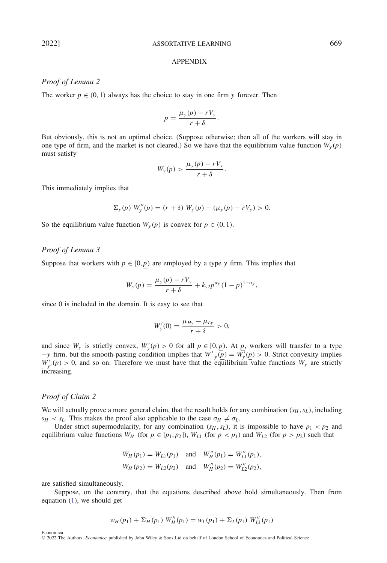#### APPENDIX

# *Proof of Lemma 2*

The worker  $p \in (0, 1)$  always has the choice to stay in one firm y forever. Then

$$
p = \frac{\mu_y(p) - rV_y}{r + \delta}.
$$

But obviously, this is not an optimal choice. (Suppose otherwise; then all of the workers will stay in one type of firm, and the market is not cleared.) So we have that the equilibrium value function  $W_y(p)$ must satisfy

$$
W_{y}(p) > \frac{\mu_{y}(p) - rV_{y}}{r + \delta}.
$$

This immediately implies that

$$
\Sigma_{y}(p) W''_{y}(p) = (r + \delta) W_{y}(p) - (\mu_{y}(p) - rV_{y}) > 0.
$$

So the equilibrium value function  $W_y(p)$  is convex for  $p \in (0, 1)$ .

# *Proof of Lemma 3*

Suppose that workers with  $p \in [0, p)$  are employed by a type *y* firm. This implies that

$$
W_{y}(p) = \frac{\mu_{y}(p) - rV_{y}}{r + \delta} + k_{y2}p^{\alpha_{y}}(1 - p)^{1 - \alpha_{y}},
$$

since 0 is included in the domain. It is easy to see that

$$
W'_{y}(0) = \frac{\mu_{Hy} - \mu_{Ly}}{r + \delta} > 0,
$$

and since  $W_y$  is strictly convex,  $W'_y(p) > 0$  for all  $p \in [0, p)$ . At p, workers will transfer to a type *−y* firm, but the smooth-pasting condition implies that  $W'_{-y}(\overline{p}) = W'_{y}(p) > 0$ . Strict convexity implies  $W'_{y'}(p) > 0$ , and so on. Therefore we must have that the equilibrium value functions  $W_y$  are strictly increasing.

# *Proof of Claim 2*

We will actually prove a more general claim, that the result holds for any combination  $(s_H, s_L)$ , including  $s_H < s_L$ . This makes the proof also applicable to the case  $\sigma_H \neq \sigma_L$ .

Under strict supermodularity, for any combination  $(s_H, s_L)$ , it is impossible to have  $p_1 < p_2$  and equilibrium value functions  $W_H$  (for  $p \in [p_1, p_2]$ ),  $W_{L1}$  (for  $p < p_1$ ) and  $W_{L2}$  (for  $p > p_2$ ) such that

$$
W_H(p_1) = W_{L1}(p_1) \text{ and } W_H''(p_1) = W_{L1}''(p_1),
$$
  
\n
$$
W_H(p_2) = W_{L2}(p_2) \text{ and } W_H''(p_2) = W_{L2}''(p_2),
$$

are satisfied simultaneously.

Economica

Suppose, on the contrary, that the equations described above hold simultaneously. Then from equation [\(1\)](#page-5-1), we should get

$$
w_H(p_1) + \Sigma_H(p_1) W''_H(p_1) = w_L(p_1) + \Sigma_L(p_1) W''_L(p_1)
$$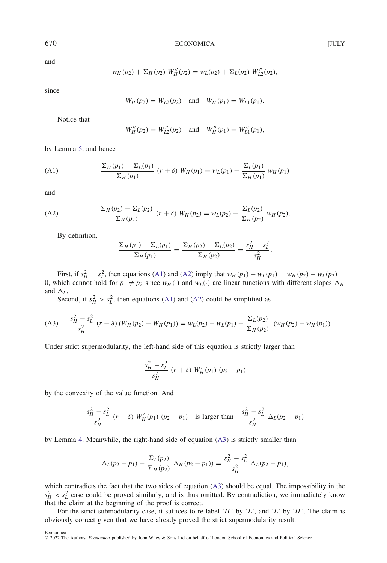and

$$
w_H(p_2) + \Sigma_H(p_2) W''_H(p_2) = w_L(p_2) + \Sigma_L(p_2) W''_{L2}(p_2),
$$

since

$$
W_H(p_2) = W_{L2}(p_2)
$$
 and  $W_H(p_1) = W_{L1}(p_1)$ .

Notice that

$$
W_H''(p_2) = W_{L2}''(p_2)
$$
 and  $W_H''(p_1) = W_{L1}''(p_1)$ ,

by Lemma [5,](#page-7-0) and hence

<span id="page-23-0"></span>(A1) 
$$
\frac{\Sigma_H(p_1) - \Sigma_L(p_1)}{\Sigma_H(p_1)} (r + \delta) W_H(p_1) = w_L(p_1) - \frac{\Sigma_L(p_1)}{\Sigma_H(p_1)} W_H(p_1)
$$

and

<span id="page-23-1"></span>(A2) 
$$
\frac{\Sigma_H(p_2) - \Sigma_L(p_2)}{\Sigma_H(p_2)} (r + \delta) W_H(p_2) = w_L(p_2) - \frac{\Sigma_L(p_2)}{\Sigma_H(p_2)} W_H(p_2).
$$

By definition,

$$
\frac{\Sigma_H(p_1) - \Sigma_L(p_1)}{\Sigma_H(p_1)} = \frac{\Sigma_H(p_2) - \Sigma_L(p_2)}{\Sigma_H(p_2)} = \frac{s_H^2 - s_L^2}{s_H^2}.
$$

First, if  $s_H^2 = s_L^2$ , then equations [\(A1\)](#page-23-0) and [\(A2\)](#page-23-1) imply that  $w_H(p_1) - w_L(p_1) = w_H(p_2) - w_L(p_2) =$ 0, which cannot hold for  $p_1 \neq p_2$  since  $w_H(\cdot)$  and  $w_L(\cdot)$  are linear functions with different slopes  $\Delta_H$ and  $\Delta_L$ .

Second, if  $s_H^2 > s_L^2$ , then equations [\(A1\)](#page-23-0) and [\(A2\)](#page-23-1) could be simplified as

<span id="page-23-2"></span>(A3) 
$$
\frac{s_H^2 - s_L^2}{s_H^2} (r + \delta) (W_H(p_2) - W_H(p_1)) = w_L(p_2) - w_L(p_1) - \frac{\Sigma_L(p_2)}{\Sigma_H(p_2)} (w_H(p_2) - w_H(p_1)).
$$

Under strict supermodularity, the left-hand side of this equation is strictly larger than

$$
\frac{s_H^2 - s_L^2}{s_H^2} \ (r + \delta) \ W'_H(p_1) \ (p_2 - p_1)
$$

by the convexity of the value function. And

$$
\frac{s_H^2 - s_L^2}{s_H^2} \ (r + \delta) \ W'_H(p_1) \ (p_2 - p_1) \quad \text{is larger than} \quad \frac{s_H^2 - s_L^2}{s_H^2} \ \Delta_L(p_2 - p_1)
$$

by Lemma [4.](#page-7-1) Meanwhile, the right-hand side of equation [\(A3\)](#page-23-2) is strictly smaller than

$$
\Delta_L(p_2 - p_1) - \frac{\Sigma_L(p_2)}{\Sigma_H(p_2)} \; \Delta_H(p_2 - p_1)) = \frac{s_H^2 - s_L^2}{s_H^2} \; \Delta_L(p_2 - p_1),
$$

which contradicts the fact that the two sides of equation [\(A3\)](#page-23-2) should be equal. The impossibility in the  $s_H^2 < s_L^2$  case could be proved similarly, and is thus omitted. By contradiction, we immediately know that the claim at the beginning of the proof is correct.

For the strict submodularity case, it suffices to re-label '*H* ' by '*L*', and '*L*' by '*H* '. The claim is obviously correct given that we have already proved the strict supermodularity result.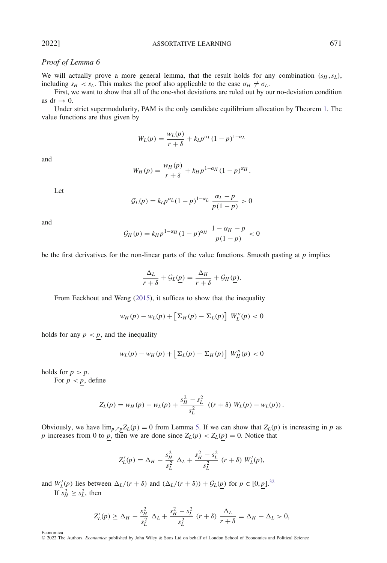# *Proof of Lemma 6*

We will actually prove a more general lemma, that the result holds for any combination  $(s_H, s_L)$ , including  $s_H < s_L$ . This makes the proof also applicable to the case  $\sigma_H \neq \sigma_L$ .

First, we want to show that all of the one-shot deviations are ruled out by our no-deviation condition as  $dt \rightarrow 0$ .

Under strict supermodularity, PAM is the only candidate equilibrium allocation by Theorem [1.](#page-8-1) The value functions are thus given by

$$
W_L(p) = \frac{w_L(p)}{r + \delta} + k_L p^{\alpha_L} (1 - p)^{1 - \alpha_L}
$$

and

$$
W_H(p) = \frac{w_H(p)}{r + \delta} + k_H p^{1 - \alpha_H} (1 - p)^{\alpha_H}.
$$

Let

$$
\mathcal{G}_{L}(p) = k_{L} p^{\alpha_{L}} (1-p)^{1-\alpha_{L}} \frac{\alpha_{L} - p}{p(1-p)} > 0
$$

and

$$
\mathcal{G}_H(p) = k_H p^{1-\alpha_H} (1-p)^{\alpha_H} \frac{1-\alpha_H - p}{p(1-p)} < 0
$$

be the first derivatives for the non-linear parts of the value functions. Smooth pasting at  $p$  implies

$$
\frac{\Delta_L}{r+\delta} + \mathcal{G}_L(\underline{p}) = \frac{\Delta_H}{r+\delta} + \mathcal{G}_H(\underline{p}).
$$

From Eeckhout and Weng [\(2015\)](#page-41-4), it suffices to show that the inequality

$$
w_H(p) - w_L(p) + \left[\Sigma_H(p) - \Sigma_L(p)\right] W_L''(p) < 0
$$

holds for any  $p < p$ , and the inequality

$$
w_L(p) - w_H(p) + \left[\Sigma_L(p) - \Sigma_H(p)\right] W_H''(p) < 0
$$

holds for  $p > p$ .

For  $p < p$ , define

$$
Z_L(p) = w_H(p) - w_L(p) + \frac{s_H^2 - s_L^2}{s_L^2} ((r + \delta) W_L(p) - w_L(p)).
$$

Obviously, we have  $\lim_{p \nearrow p} Z_L(p) = 0$  from Lemma [5.](#page-7-0) If we can show that  $Z_L(p)$  is increasing in *p* as *p* increases from 0 to *p*, then we are done since  $Z_L(p) < Z_L(p) = 0$ . Notice that

$$
Z_L'(p) = \Delta_H - \frac{s_H^2}{s_L^2} \Delta_L + \frac{s_H^2 - s_L^2}{s_L^2} (r + \delta) W_L'(p),
$$

and  $W'_L(p)$  lies between  $\Delta_L/(r + \delta)$  and  $(\Delta_L/(r + \delta)) + \mathcal{G}_L(p)$  for  $p \in [0, p]$ .<sup>[32](#page-40-15)</sup> If  $s_H^2 \geq s_L^2$ , then

$$
Z'_L(p) \geq \Delta_H - \frac{s_H^2}{s_L^2} \Delta_L + \frac{s_H^2 - s_L^2}{s_L^2} (r + \delta) \frac{\Delta_L}{r + \delta} = \Delta_H - \Delta_L > 0,
$$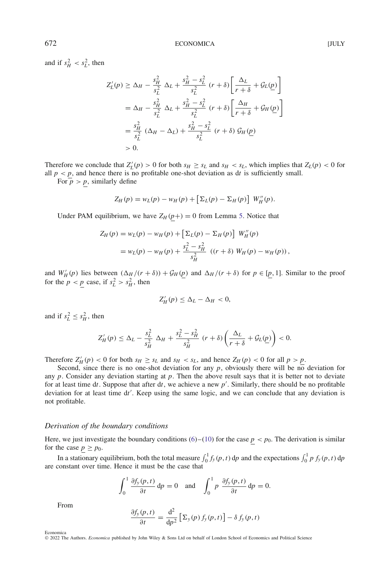and if  $s_H^2 < s_L^2$ , then

$$
Z_{L}'(p) \geq \Delta_{H} - \frac{s_{H}^{2}}{s_{L}^{2}} \Delta_{L} + \frac{s_{H}^{2} - s_{L}^{2}}{s_{L}^{2}} (r + \delta) \left[ \frac{\Delta_{L}}{r + \delta} + \mathcal{G}_{L}(p) \right]
$$
  
=  $\Delta_{H} - \frac{s_{H}^{2}}{s_{L}^{2}} \Delta_{L} + \frac{s_{H}^{2} - s_{L}^{2}}{s_{L}^{2}} (r + \delta) \left[ \frac{\Delta_{H}}{r + \delta} + \mathcal{G}_{H}(p) \right]$   
=  $\frac{s_{H}^{2}}{s_{L}^{2}} (\Delta_{H} - \Delta_{L}) + \frac{s_{H}^{2} - s_{L}^{2}}{s_{L}^{2}} (r + \delta) \mathcal{G}_{H}(p)$   
> 0.

Therefore we conclude that  $Z_L'(p) > 0$  for both  $s_H \geq s_L$  and  $s_H < s_L$ , which implies that  $Z_L(p) < 0$  for all  $p < p$ , and hence there is no profitable one-shot deviation as dt is sufficiently small.

For  $p > p$ , similarly define

$$
Z_H(p) = w_L(p) - w_H(p) + \left[\Sigma_L(p) - \Sigma_H(p)\right] W_H''(p).
$$

Under PAM equilibrium, we have  $Z_H(p+) = 0$  from Lemma [5.](#page-7-0) Notice that

$$
Z_H(p) = w_L(p) - w_H(p) + \left[\Sigma_L(p) - \Sigma_H(p)\right] W''_H(p)
$$
  
=  $w_L(p) - w_H(p) + \frac{s_L^2 - s_H^2}{s_H^2} ((r + \delta) W_H(p) - w_H(p)),$ 

and  $W'_H(p)$  lies between  $(\Delta_H/(r+\delta)) + \mathcal{G}_H(p)$  and  $\Delta_H/(r+\delta)$  for  $p \in [p, 1]$ . Similar to the proof for the  $p < p$  case, if  $s_L^2 > s_H^2$ , then

$$
Z'_H(p) \le \Delta_L - \Delta_H < 0,
$$

and if  $s_L^2 \leq s_H^2$ , then

$$
Z'_H(p) \leq \Delta_L - \frac{s_L^2}{s_H^2} \Delta_H + \frac{s_L^2 - s_H^2}{s_H^2} (r + \delta) \left(\frac{\Delta_L}{r + \delta} + \mathcal{G}_L(p)\right) < 0.
$$

Therefore  $Z_H'(p) < 0$  for both  $s_H \geq s_L$  and  $s_H < s_L$ , and hence  $Z_H(p) < 0$  for all  $p > p$ .

Second, since there is no one-shot deviation for any  $p$ , obviously there will be no deviation for any  $p$ . Consider any deviation starting at  $p$ . Then the above result says that it is better not to deviate for at least time d*t*. Suppose that after d*t*, we achieve a new *p* . Similarly, there should be no profitable deviation for at least time d*t* . Keep using the same logic, and we can conclude that any deviation is not profitable.

#### *Derivation of the boundary conditions*

Here, we just investigate the boundary conditions [\(6\)](#page-11-0)–[\(10\)](#page-11-1) for the case  $p < p_0$ . The derivation is similar for the case  $p \ge p_0$ .

In a stationary equilibrium, both the total measure  $\int_0^1 f_y(p, t) dp$  and the expectations  $\int_0^1 p f_y(p, t) dp$ are constant over time. Hence it must be the case that

$$
\int_0^1 \frac{\partial f_y(p,t)}{\partial t} \, \mathrm{d}p = 0 \quad \text{and} \quad \int_0^1 p \, \frac{\partial f_y(p,t)}{\partial t} \, \mathrm{d}p = 0.
$$

From

Economica

$$
\frac{\partial f_y(p,t)}{\partial t} = \frac{\mathrm{d}^2}{\mathrm{d}p^2} \left[ \Sigma_y(p) f_y(p,t) \right] - \delta f_y(p,t)
$$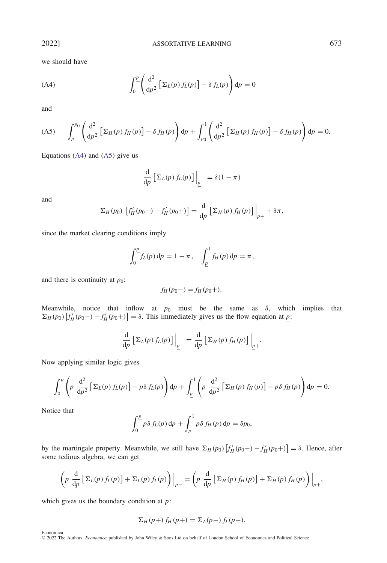we should have

<span id="page-26-0"></span>(A4) 
$$
\int_0^p \left( \frac{\mathrm{d}^2}{\mathrm{d}p^2} \left[ \Sigma_L(p) f_L(p) \right] - \delta f_L(p) \right) \mathrm{d}p = 0
$$

and

<span id="page-26-1"></span>
$$
\text{(A5)} \qquad \int_{\underline{p}}^{p_0} \left( \frac{\mathrm{d}^2}{\mathrm{d}p^2} \left[ \Sigma_H(p) f_H(p) \right] - \delta f_H(p) \right) \mathrm{d}p + \int_{p_0}^1 \left( \frac{\mathrm{d}^2}{\mathrm{d}p^2} \left[ \Sigma_H(p) f_H(p) \right] - \delta f_H(p) \right) \mathrm{d}p = 0.
$$

Equations  $(A4)$  and  $(A5)$  give us

$$
\frac{\mathrm{d}}{\mathrm{d}p} \left[ \Sigma_L(p) f_L(p) \right] \Big|_{p^-} = \delta(1 - \pi)
$$

and

$$
\Sigma_H(p_0) \left[ f'_H(p_0-) - f'_H(p_0+) \right] = \frac{\mathrm{d}}{\mathrm{d}p} \left[ \Sigma_H(p) f_H(p) \right] \Big|_{p+} + \delta \pi,
$$

since the market clearing conditions imply

$$
\int_0^p f_L(p) \, dp = 1 - \pi, \quad \int_{\underline{p}}^1 f_H(p) \, dp = \pi,
$$

and there is continuity at  $p_0$ :

$$
f_H(p_0-) = f_H(p_0+).
$$

Meanwhile, notice that inflow at  $p_0$  must be the same as  $\delta$ , which implies that  $\Sigma_H(p_0)$   $[f'_H(p_0-)-f'_H(p_0+)] = \delta$ . This immediately gives us the flow equation at *p*:

$$
\frac{\mathrm{d}}{\mathrm{d}p} \left[ \Sigma_L(p) f_L(p) \right] \Big|_{p-} = \frac{\mathrm{d}}{\mathrm{d}p} \left[ \Sigma_H(p) f_H(p) \right] \Big|_{p+}.
$$

Now applying similar logic gives

$$
\int_0^{\underline{p}} \left( p \frac{d^2}{dp^2} \left[ \Sigma_L(p) f_L(p) \right] - p \delta f_L(p) \right) dp + \int_{\underline{p}}^1 \left( p \frac{d^2}{dp^2} \left[ \Sigma_H(p) f_H(p) \right] - p \delta f_H(p) \right) dp = 0.
$$

Notice that

$$
\int_0^p p\,\delta\,f_L(p)\,\mathrm{d}p + \int_p^1 p\,\delta\,f_H(p)\,\mathrm{d}p = \delta p_0,
$$

by the martingale property. Meanwhile, we still have  $\Sigma$ <sub>*H*</sub> (*p*<sub>0</sub>)  $[f'_{H}(p_{0}-) - f'_{H}(p_{0}+)]= δ$ . Hence, after some tedious algebra, we can get

$$
\left(p \frac{d}{dp} \left[\Sigma_L(p) f_L(p)\right] + \Sigma_L(p) f_L(p)\right)\Big|_{p^-} = \left(p \frac{d}{dp} \left[\Sigma_H(p) f_H(p)\right] + \Sigma_H(p) f_H(p)\right)\Big|_{p^+},
$$

which gives us the boundary condition at *p*:

$$
\Sigma_H(\underline{p}+) f_H(\underline{p}+) = \Sigma_L(\underline{p} -) f_L(\underline{p} -).
$$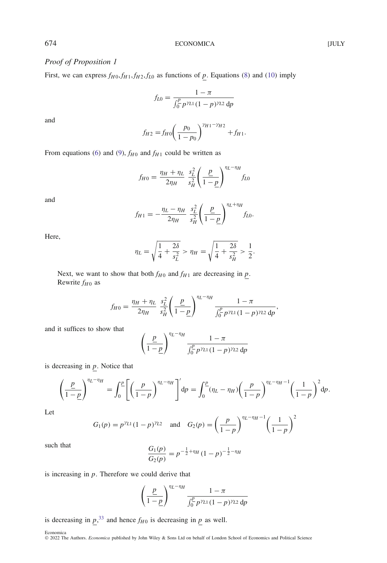# *Proof of Proposition 1*

First, we can express  $f_{H0}$ ,  $f_{H1}$ ,  $f_{H2}$ ,  $f_{L0}$  as functions of *p*. Equations [\(8\)](#page-11-6) and [\(10\)](#page-11-1) imply

$$
f_{L0} = \frac{1 - \pi}{\int_0^p p^{\gamma_{L1}} (1 - p)^{\gamma_{L2}} dp}
$$

and

$$
f_{H2} = f_{H0} \left( \frac{p_0}{1 - p_0} \right)^{\gamma_{H1} - \gamma_{H2}} + f_{H1}.
$$

From equations [\(6\)](#page-11-0) and [\(9\)](#page-11-5),  $f_{H0}$  and  $f_{H1}$  could be written as

$$
f_{H0} = \frac{\eta_H + \eta_L}{2\eta_H} \frac{s_L^2}{s_H^2} \left(\frac{p}{1-p}\right)^{\eta_L - \eta_H} f_{L0}
$$

and

$$
f_{H1} = -\frac{\eta_L - \eta_H}{2\eta_H} \frac{s_L^2}{s_H^2} \left(\frac{p}{1-p}\right)^{\eta_L + \eta_H} f_{L0}.
$$

Here,

$$
\eta_L = \sqrt{\frac{1}{4} + \frac{2\delta}{s_L^2}} > \eta_H = \sqrt{\frac{1}{4} + \frac{2\delta}{s_H^2}} > \frac{1}{2}.
$$

Next, we want to show that both  $f_{H0}$  and  $f_{H1}$  are decreasing in  $p$ . Rewrite  $f_{H0}$  as

$$
f_{H0} = \frac{\eta_H + \eta_L}{2\eta_H} \frac{s_L^2}{s_H^2} \left(\frac{p}{1-p}\right)^{\eta_L - \eta_H} \frac{1-\pi}{\int_0^p p^{\gamma_{L1}} (1-p)^{\gamma_{L2}} dp},
$$

and it suffices to show that

$$
\left(\frac{\underline{p}}{1-\underline{p}}\right)^{\eta_L-\eta_H} \frac{1-\pi}{\int_0^{\underline{p}} p^{\gamma_{L1}} (1-p)^{\gamma_{L2}} dp}
$$

is decreasing in *p*. Notice that

$$
\left(\frac{\underline{p}}{1-\underline{p}}\right)^{\eta_L-\eta_H} = \int_0^{\underline{p}} \left[ \left(\frac{p}{1-p}\right)^{\eta_L-\eta_H} \right]' dp = \int_0^{\underline{p}} (\eta_L-\eta_H) \left(\frac{p}{1-p}\right)^{\eta_L-\eta_H-1} \left(\frac{1}{1-p}\right)^2 dp.
$$

Let

$$
G_1(p) = p^{\gamma_{L1}}(1-p)^{\gamma_{L2}}
$$
 and  $G_2(p) = \left(\frac{p}{1-p}\right)^{\eta_L - \eta_H - 1} \left(\frac{1}{1-p}\right)^2$ 

such that *<sup>G</sup>*1*(p)*

$$
\frac{G_1(p)}{G_2(p)} = p^{-\frac{1}{2} + \eta_H} (1 - p)^{-\frac{1}{2} - \eta_H}
$$

is increasing in *p*. Therefore we could derive that

$$
\left(\frac{\underline{p}}{1-\underline{p}}\right)^{\eta_L-\eta_H} \frac{1-\pi}{\int_0^{\underline{p}} p^{\gamma_{L1}} (1-p)^{\gamma_{L2}} dp}
$$

is decreasing in  $p^{33}$  $p^{33}$  $p^{33}$ , and hence  $f_{H0}$  is decreasing in  $p$  as well.

Economica © 2022 The Authors. *Economica* published by John Wiley & Sons Ltd on behalf of London School of Economics and Political Science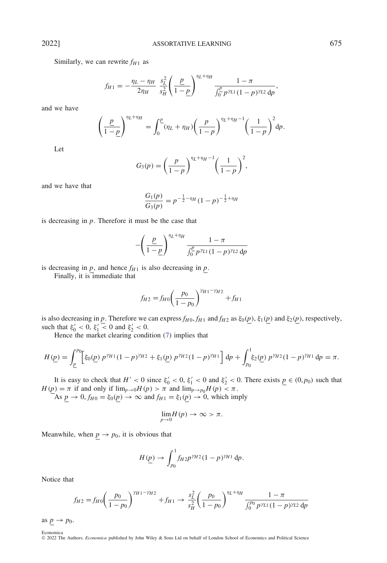Similarly, we can rewrite  $f_{H1}$  as

$$
f_{H1} = -\frac{\eta_L - \eta_H}{2\eta_H} \frac{s_L^2}{s_H^2} \left(\frac{\underline{p}}{1-\underline{p}}\right)^{\eta_L + \eta_H} \frac{1-\pi}{\int_0^{\underline{p}} p^{\gamma_{L1}} (1-p)^{\gamma_{L2}} dp},
$$

and we have

$$
\left(\frac{\underline{p}}{1-\underline{p}}\right)^{\eta_L+\eta_H} = \int_0^{\underline{p}} (\eta_L+\eta_H) \left(\frac{\underline{p}}{1-\underline{p}}\right)^{\eta_L+\eta_H-1} \left(\frac{1}{1-\underline{p}}\right)^2 d\underline{p}.
$$

Let

$$
G_3(p) = \left(\frac{p}{1-p}\right)^{\eta_L + \eta_H - 1} \left(\frac{1}{1-p}\right)^2,
$$

and we have that

$$
\frac{G_1(p)}{G_3(p)} = p^{-\frac{1}{2} - \eta_H} (1 - p)^{-\frac{1}{2} + \eta_H}
$$

is decreasing in *p*. Therefore it must be the case that

$$
-\left(\frac{\underline{p}}{1-\underline{p}}\right)^{\eta_L+\eta_H}\frac{1-\pi}{\int_0^{\underline{p}}p^{\gamma_{L1}}(1-p)^{\gamma_{L2}}dp}
$$

is decreasing in  $p$ , and hence  $f_{H1}$  is also decreasing in  $p$ .

Finally, it is immediate that

$$
f_{H2} = f_{H0} \left( \frac{p_0}{1 - p_0} \right)^{\gamma_{H1} - \gamma_{H2}} + f_{H1}
$$

is also decreasing in *p*. Therefore we can express  $f_{H0}$ ,  $f_{H1}$  and  $f_{H2}$  as  $\xi_0(p)$ ,  $\xi_1(p)$  and  $\xi_2(p)$ , respectively, such that  $\xi_0' < 0$ ,  $\xi_1' < 0$  and  $\xi_2' < 0$ .

Hence the market clearing condition [\(7\)](#page-11-7) implies that

$$
H(\underline{p}) = \int_{\underline{p}}^{p_0} \left[ \xi_0(\underline{p}) \ p^{\gamma_{H1}} (1-p)^{\gamma_{H2}} + \xi_1(\underline{p}) \ p^{\gamma_{H2}} (1-p)^{\gamma_{H1}} \right] dp + \int_{p_0}^{1} \xi_2(\underline{p}) \ p^{\gamma_{H2}} (1-p)^{\gamma_{H1}} dp = \pi.
$$

It is easy to check that  $H' < 0$  since  $\xi_0' < 0$ ,  $\xi_1' < 0$  and  $\xi_2' < 0$ . There exists  $p \in (0, p_0)$  such that *H* ( $\underline{p}$ ) =  $\pi$  if and only if  $\lim_{p\to 0}$ *H* ( $p$ ) >  $\pi$  and  $\lim_{p\to p_0}$ *H* ( $p$ ) <  $\pi$ .

As  $p \to 0$ ,  $f_{H0} = \xi_0(p) \to \infty$  and  $f_{H1} = \xi_1(p) \to 0$ , which imply

$$
\lim_{p\to 0} H(p) \to \infty > \pi.
$$

Meanwhile, when  $p \to p_0$ , it is obvious that

$$
H(\underline{p}) \to \int_{p_0}^1 f_{H2} p^{\gamma_{H2}} (1-p)^{\gamma_{H1}} dp.
$$

Notice that

$$
f_{H2} = f_{H0} \left( \frac{p_0}{1 - p_0} \right)^{\gamma_{H1} - \gamma_{H2}} + f_{H1} \to \frac{s_L^2}{s_H^2} \left( \frac{p_0}{1 - p_0} \right)^{\eta_L + \eta_H} \frac{1 - \pi}{\int_0^{p_0} p^{\gamma_{L1}} (1 - p)^{\gamma_{L2}} dp}
$$

as  $\underline{p} \rightarrow p_0$ . Economica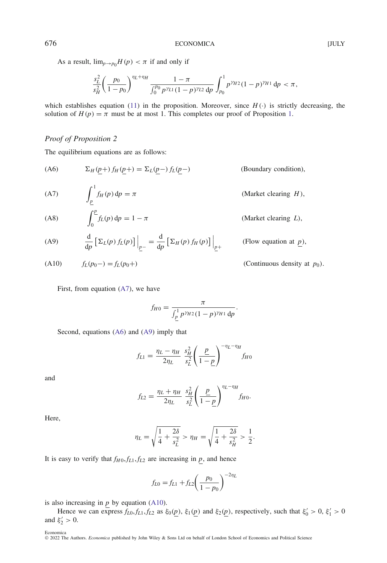As a result,  $\lim_{p\to p_0} H(p) < \pi$  if and only if

$$
\frac{s_L^2}{s_H^2} \left(\frac{p_0}{1-p_0}\right)^{\eta_L+\eta_H} \frac{1-\pi}{\int_0^{p_0} p^{\gamma_{L1}}(1-p)^{\gamma_{L2}} dp} \int_{p_0}^1 p^{\gamma_{H2}} (1-p)^{\gamma_{H1}} dp < \pi,
$$

which establishes equation [\(11\)](#page-11-4) in the proposition. Moreover, since  $H(\cdot)$  is strictly decreasing, the solution of  $H(p) = \pi$  must be at most [1.](#page-11-3) This completes our proof of Proposition 1.

# *Proof of Proposition 2*

The equilibrium equations are as follows:

<span id="page-29-1"></span>(A6) 
$$
\Sigma_H(p+) f_H(p+) = \Sigma_L(p-) f_L(p-)
$$
 (Boundary condition),

<span id="page-29-0"></span>(A7) 
$$
\int_{\underline{p}}^{1} f_H(p) dp = \pi
$$
 (Market clearing *H*),

<span id="page-29-4"></span>(A8) 
$$
\int_0^p f_L(p) dp = 1 - \pi
$$
 (Market clearing *L*),

<span id="page-29-2"></span>
$$
(A9) \qquad \frac{\mathrm{d}}{\mathrm{d}p} \left[ \Sigma_L(p) f_L(p) \right] \Big|_{\underline{p}^-} = \frac{\mathrm{d}}{\mathrm{d}p} \left[ \Sigma_H(p) f_H(p) \right] \Big|_{\underline{p}^+}
$$

<span id="page-29-3"></span>(A10) 
$$
f_L(p_0-) = f_L(p_0+)
$$
 (Continuous density at  $p_0$ ).

First, from equation [\(A7\)](#page-29-0), we have

$$
f_{H0} = \frac{\pi}{\int_{\underline{p}}^1 p^{\gamma_{H2}} (1-p)^{\gamma_{H1}} dp}.
$$

(Flow equation at  $p$ ),

Second, equations [\(A6\)](#page-29-1) and [\(A9\)](#page-29-2) imply that

$$
f_{L1} = \frac{\eta_L - \eta_H}{2\eta_L} \frac{s_H^2}{s_L^2} \left(\frac{p}{1-p}\right)^{-\eta_L - \eta_H} f_{H0}
$$

and

$$
f_{L2} = \frac{\eta_L + \eta_H}{2\eta_L} \frac{s_H^2}{s_L^2} \left(\frac{p}{1-p}\right)^{\eta_L - \eta_H} f_{H0}.
$$

Here,

$$
\eta_L = \sqrt{\frac{1}{4} + \frac{2\delta}{s_L^2}} > \eta_H = \sqrt{\frac{1}{4} + \frac{2\delta}{s_H^2}} > \frac{1}{2}.
$$

It is easy to verify that  $f_{H0}$ ,  $f_{L1}$ ,  $f_{L2}$  are increasing in *p*, and hence

$$
f_{L0} = f_{L1} + f_{L2} \left(\frac{p_0}{1 - p_0}\right)^{-2\eta_L}
$$

is also increasing in *p* by equation [\(A10\)](#page-29-3).

Hence we can express  $f_{L0}, f_{L1}, f_{L2}$  as  $\xi_0(p), \xi_1(p)$  and  $\xi_2(p)$ , respectively, such that  $\xi'_0 > 0, \xi'_1 > 0$ and  $\xi_2' > 0$ .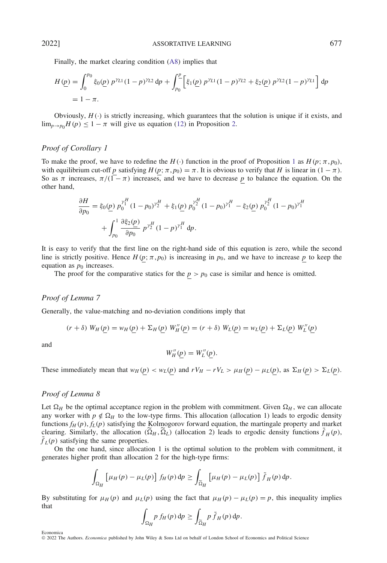Finally, the market clearing condition [\(A8\)](#page-29-4) implies that

$$
H(\underline{p}) = \int_0^{p_0} \xi_0(\underline{p}) \ p^{\gamma_{L1}} (1-p)^{\gamma_{L2}} \, dp + \int_{p_0}^{\underline{p}} \left[ \xi_1(\underline{p}) \ p^{\gamma_{L1}} (1-p)^{\gamma_{L2}} + \xi_2(\underline{p}) \ p^{\gamma_{L2}} (1-p)^{\gamma_{L1}} \right] \, dp
$$
  
= 1 -  $\pi$ .

Obviously,  $H(\cdot)$  is strictly increasing, which guarantees that the solution is unique if it exists, and  $\lim_{p\to p_0} H(p) \leq 1 - \pi$  will give us equation [\(12\)](#page-12-3) in Proposition [2.](#page-12-0)

# *Proof of Corollary 1*

To make the proof, we have to redefine the  $H(\cdot)$  function in the proof of Proposition [1](#page-11-3) as  $H(p; \pi, p_0)$ , with equilibrium cut-off *p* satisfying  $H(p; \pi, p_0) = \pi$ . It is obvious to verify that *H* is linear in  $(1 - \pi)$ . So as  $\pi$  increases,  $\pi/(\overline{1-\pi})$  increases, and we have to decrease p to balance the equation. On the other hand,

$$
\frac{\partial H}{\partial p_0} = \xi_0(\underline{p}) \ p_0^{\gamma_1^H} (1 - p_0)^{\gamma_2^H} + \xi_1(\underline{p}) \ p_0^{\gamma_2^H} (1 - p_0)^{\gamma_1^H} - \xi_2(\underline{p}) \ p_0^{\gamma_2^H} (1 - p_0)^{\gamma_1^H}
$$

$$
+ \int_{p_0}^1 \frac{\partial \xi_2(\underline{p})}{\partial p_0} \ p^{\gamma_2^H} (1 - p)^{\gamma_1^H} \ d p.
$$

It is easy to verify that the first line on the right-hand side of this equation is zero, while the second line is strictly positive. Hence  $H(p; \pi, p_0)$  is increasing in  $p_0$ , and we have to increase p to keep the equation as  $p_0$  increases.

The proof for the comparative statics for the  $p > p_0$  case is similar and hence is omitted.

#### *Proof of Lemma 7*

Generally, the value-matching and no-deviation conditions imply that

$$
(r+\delta) W_H(\underline{p}) = w_H(\underline{p}) + \Sigma_H(\underline{p}) W_H''(\underline{p}) = (r+\delta) W_L(\underline{p}) = w_L(\underline{p}) + \Sigma_L(\underline{p}) W_L''(\underline{p})
$$

and

$$
W_H''(\underline{p})=W_L''(\underline{p}).
$$

These immediately mean that  $w_H(p) < w_L(p)$  and  $rV_H - rV_L > \mu_H(p) - \mu_L(p)$ , as  $\Sigma_H(p) > \Sigma_L(p)$ .

#### *Proof of Lemma 8*

Let  $\Omega_H$  be the optimal acceptance region in the problem with commitment. Given  $\Omega_H$ , we can allocate any worker with  $p \notin \Omega_H$  to the low-type firms. This allocation (allocation 1) leads to ergodic density functions  $f_H(p)$ ,  $f_L(p)$  satisfying the Kolmogorov forward equation, the martingale property and market clearing. Similarly, the allocation  $(\overline{\Omega}_H, \overline{\Omega}_L)$  (allocation 2) leads to ergodic density functions  $f_H(p)$ ,  $\tilde{f}_I(p)$  satisfying the same properties.

On the one hand, since allocation 1 is the optimal solution to the problem with commitment, it generates higher profit than allocation 2 for the high-type firms:

$$
\int_{\Omega_H} \left[ \mu_H(p) - \mu_L(p) \right] f_H(p) \, \mathrm{d}p \ge \int_{\widetilde{\Omega}_H} \left[ \mu_H(p) - \mu_L(p) \right] \widetilde{f}_H(p) \, \mathrm{d}p.
$$

By substituting for  $\mu_H(p)$  and  $\mu_L(p)$  using the fact that  $\mu_H(p) - \mu_L(p) = p$ , this inequality implies that

$$
\int_{\Omega_H} p f_H(p) \, \mathrm{d}p \ge \int_{\widetilde{\Omega}_H} p \, \widetilde{f}_H(p) \, \mathrm{d}p.
$$

Economica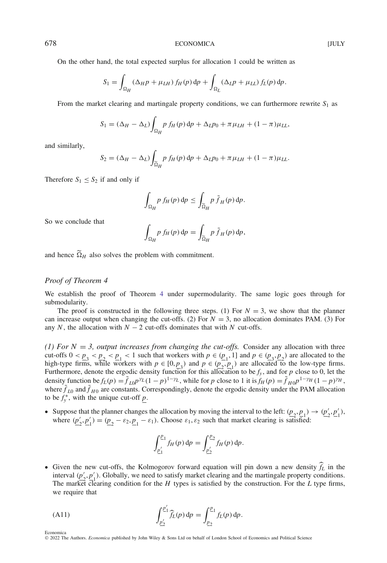On the other hand, the total expected surplus for allocation 1 could be written as

$$
S_1 = \int_{\Omega_H} (\Delta_H p + \mu_{LH}) f_H(p) dp + \int_{\Omega_L} (\Delta_L p + \mu_{LL}) f_L(p) dp.
$$

From the market clearing and martingale property conditions, we can furthermore rewrite  $S_1$  as

$$
S_1 = (\Delta_H - \Delta_L) \int_{\Omega_H} p f_H(p) dp + \Delta_L p_0 + \pi \mu_{LH} + (1 - \pi) \mu_{LL},
$$

and similarly,

$$
S_2 = (\Delta_H - \Delta_L) \int_{\widetilde{\Omega}_H} p f_H(p) dp + \Delta_L p_0 + \pi \mu_{LH} + (1 - \pi) \mu_{LL}.
$$

Therefore  $S_1 \leq S_2$  if and only if

$$
\int_{\Omega_H} p f_H(p) \, \mathrm{d} p \le \int_{\widetilde{\Omega}_H} p \, \widetilde{f}_H(p) \, \mathrm{d} p.
$$

So we conclude that

$$
\int_{\Omega_H} p f_H(p) dp = \int_{\widetilde{\Omega}_H} p \tilde{f}_H(p) dp,
$$

and hence  $\widetilde{\Omega}_H$  also solves the problem with commitment.

# *Proof of Theorem 4*

<span id="page-31-0"></span>Economica

We establish the proof of Theorem [4](#page-18-0) under supermodularity. The same logic goes through for submodularity.

The proof is constructed in the following three steps. (1) For  $N = 3$ , we show that the planner can increase output when changing the cut-offs. (2) For  $N = 3$ , no allocation dominates PAM. (3) For any *N*, the allocation with  $N - 2$  cut-offs dominates that with *N* cut-offs.

*(1) For N = 3, output increases from changing the cut-offs.* Consider any allocation with three cut-offs  $0 < p_3 < p_2 < p_1 < 1$  such that workers with  $p \in (p_1, 1]$  and  $p \in (p_3, p_2)$  are allocated to the high-type firms, while workers with  $p \in [0, p_3)$  and  $p \in (p_2, p_1)$  are allocated to the low-type firms. Furthermore, denote the ergodic density function for this allocation to be  $f_y$ , and for  $p$  close to 0, let the density function be  $f_L(p) = \tilde{f}_{L0}p^{\gamma_L}(1-p)^{1-\gamma_L}$ , while for p close to 1 it is  $f_H(p) = \tilde{f}_{H0}p^{1-\gamma_H}(1-p)^{\gamma_H}$ , where  $\tilde{f}_{I0}$  and  $\tilde{f}_{H0}$  are constants. Correspondingly, denote the ergodic density under the PAM allocation to be  $f_y^*$ , with the unique cut-off  $p$ .

• Suppose that the planner changes the allocation by moving the interval to the left:  $(\underline{p}_2, \underline{p}_1) \rightarrow (\underline{p}'_2, \underline{p}'_1)$ , where  $(\underline{p}'_2, \underline{p}'_1) = (\underline{p}_2 - \varepsilon_2, \underline{p}_1 - \varepsilon_1)$ . Choose  $\varepsilon_1, \varepsilon_2$  such that market clearing is satisfied:

$$
\int_{\underline{p}'_1}^{\underline{p}_1} f_H(p) \, \mathrm{d}p = \int_{\underline{p}'_2}^{\underline{p}_2} f_H(p) \, \mathrm{d}p.
$$

• Given the new cut-offs, the Kolmogorov forward equation will pin down a new density  $\hat{f}_L$  in the interval  $(p'_2, p'_1)$ . Globally, we need to satisfy market clearing and the martingale property conditions. The market clearing condition for the *H* types is satisfied by the construction. For the *L* type firms, we require that

(A11) 
$$
\int_{\underline{p}'_2}^{\underline{p}'_1} \widehat{f}_L(p) dp = \int_{\underline{p}_2}^{\underline{p}_1} f_L(p) dp.
$$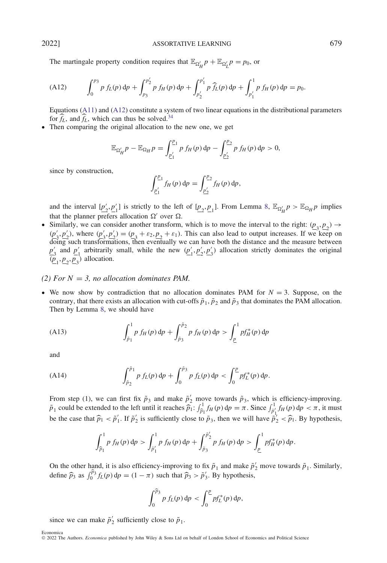The martingale property condition requires that  $\mathbb{E}_{\Omega'_H} p + \mathbb{E}_{\Omega'_L} p = p_0$ , or

<span id="page-32-0"></span>(A12) 
$$
\int_0^{p_3} p f_L(p) dp + \int_{p_3}^{p_2'} p f_H(p) dp + \int_{p_2'}^{p_1'} p \hat{f}_L(p) dp + \int_{p_1'}^{1} p f_H(p) dp = p_0.
$$

Equations [\(A11\)](#page-31-0) and [\(A12\)](#page-32-0) constitute a system of two linear equations in the distributional parameters for  $\widehat{f}_L$ , and  $\widehat{f}_L$ , which can thus be solved.<sup>34</sup>

• Then comparing the original allocation to the new one, we get

$$
\mathbb{E}_{\Omega'_H} p - \mathbb{E}_{\Omega_H} p = \int_{\underline{p'_1}}^{\underline{p}_1} p f_H(p) \, \mathrm{d}p - \int_{\underline{p'_2}}^{\underline{p}_2} p f_H(p) \, \mathrm{d}p > 0,
$$

since by construction,

$$
\int_{\underline{p}'_1}^{\underline{p}_1} f_H(p) \, \mathrm{d}p = \int_{\underline{p}'_2}^{\underline{p}_2} f_H(p) \, \mathrm{d}p,
$$

and the interval  $[p'_2, p'_1]$  is strictly to the left of  $[p_2, p_1]$ . From Lemma [8,](#page-17-0)  $\mathbb{E}_{\Omega'_H} p > \mathbb{E}_{\Omega_H} p$  implies that the planner prefers allocation  $\Omega'$  over  $\Omega$ .

• Similarly, we can consider another transform, which is to move the interval to the right:  $(\underline{p}_3, \underline{p}_2) \rightarrow$  $(p'_3, p'_2)$ , where  $(p'_3, p'_2) = (p_3 + \varepsilon_2, p_2 + \varepsilon_1)$ . This can also lead to output increases. If we keep on  $\overline{\text{doing}}$  such transformations, then eventually we can have both the distance and the measure between  $p'_3$  and  $p'_1$  arbitrarily small, while the new  $(p'_1, p'_2, p'_3)$  allocation strictly dominates the original  $(\underline{p}_1, \underline{p}_2, \underline{p}_3)$  allocation.

# *(2) For*  $N = 3$ *, no allocation dominates PAM.*

• We now show by contradiction that no allocation dominates PAM for  $N = 3$ . Suppose, on the contrary, that there exists an allocation with cut-offs  $\tilde{p}_1$ ,  $\tilde{p}_2$  and  $\tilde{p}_3$  that dominates the PAM allocation. Then by Lemma [8,](#page-17-0) we should have

<span id="page-32-1"></span>(A13) 
$$
\int_{\tilde{p}_1}^1 p f_H(p) dp + \int_{\tilde{p}_3}^{\tilde{p}_2} p f_H(p) dp > \int_{\underline{p}}^1 p f_H^*(p) dp
$$

and

<span id="page-32-2"></span>(A14) 
$$
\int_{\tilde{p}_2}^{\tilde{p}_1} p f_L(p) dp + \int_0^{\tilde{p}_3} p f_L(p) dp < \int_0^{\underline{p}} p f_L^*(p) dp.
$$

From step (1), we can first fix  $\tilde{p}_3$  and make  $\tilde{p}'_2$  move towards  $\tilde{p}_3$ , which is efficiency-improving.  $\tilde{p}_1$  could be extended to the left until it reaches  $\tilde{p}_1$ :  $\int_{\tilde{p}_1}^1 f_H(p) dp = \pi$ . Since  $\int_{\tilde{p}_1'}^1 f_H(p) dp < \pi$ , it must be the case that  $\hat{p}_1 < \tilde{p}'_1$ . If  $\tilde{p}'_2$  is sufficiently close to  $\tilde{p}_3$ , then we will have  $\tilde{p}'_2 < \hat{p}_1$ . By hypothesis,

$$
\int_{\tilde{p}_1}^1 p f_H(p) dp > \int_{\tilde{p}_1'}^1 p f_H(p) dp + \int_{\tilde{p}_3}^{\tilde{p}_2'} p f_H(p) dp > \int_{\underline{p}}^1 p f_H^*(p) dp.
$$

On the other hand, it is also efficiency-improving to fix  $\tilde{p}_1$  and make  $\tilde{p}'_2$  move towards  $\tilde{p}_1$ . Similarly, define  $\hat{p}_3$  as  $\int_0^{\hat{p}_3} f_L(p) dp = (1 - \pi)$  such that  $\hat{p}_3 > \tilde{p}'_3$ . By hypothesis,

$$
\int_0^{\widehat{p}_3} p f_L(p) \, \mathrm{d}p < \int_0^p p f_L^*(p) \, \mathrm{d}p,
$$

since we can make  $\tilde{p}'_2$  sufficiently close to  $\tilde{p}_1$ .

Economica © 2022 The Authors. *Economica* published by John Wiley & Sons Ltd on behalf of London School of Economics and Political Science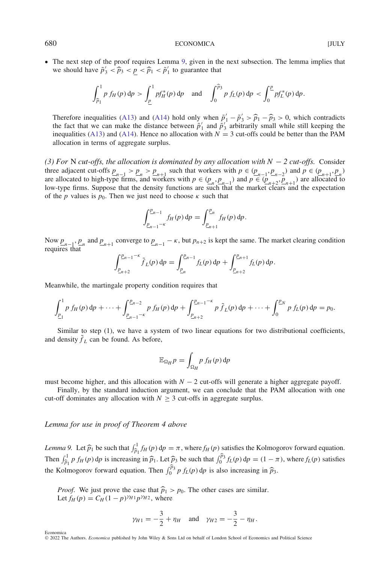# 680 ECONOMICA ECONOMICA

• The next step of the proof requires Lemma [9,](#page-33-0) given in the next subsection. The lemma implies that we should have  $\tilde{p}'_3 < \hat{p}_3 < p \leq \hat{p}_1 < \tilde{p}'_1$  to guarantee that

$$
\int_{\widehat{p}_1}^1 p f_H(p) \, \mathrm{d}p > \int_{\underline{p}}^1 p f_H^*(p) \, \mathrm{d}p \quad \text{and} \quad \int_0^{\widehat{p}_3} p f_L(p) \, \mathrm{d}p < \int_0^{\underline{p}} p f_L^*(p) \, \mathrm{d}p.
$$

Therefore inequalities [\(A13\)](#page-32-1) and [\(A14\)](#page-32-2) hold only when  $\tilde{p}'_1 - \tilde{p}'_3 > \hat{p}_1 - \hat{p}_3 > 0$ , which contradicts the fact that we can make the distance between  $\tilde{p}'_2$  and  $\tilde{p}'_2$  arbitrarily small while still keeping the fact that we can make the distance between  $\tilde{p}'_1$  and  $\tilde{p}'_3$  arbitrarily small while still keeping the inequalities [\(A13\)](#page-32-1) and [\(A14\)](#page-32-2). Hence no allocation with  $N = 3$  cut-offs could be better than the PAM allocation in terms of aggregate surplus.

*(3) For* N *cut-offs, the allocation is dominated by any allocation with N* − *2 cut-offs.* Consider three adjacent cut-offs  $p_{n-1} > p_n > p_{n+1}$  such that workers with  $p \in (p_{n-1}, p_{n-2})$  and  $p \in (p_{n+1}, p_n)$ are allocated to high-type firms, and workers with  $p \in (\underline{p}_n, \underline{p}_{n-1})$  and  $p \in (\underline{p}_{n+2}, \underline{p}_{n+1})$  are allocated to low-type firms. Suppose that the density functions are such that the market clears and the expectation of the *p* values is  $p_0$ . Then we just need to choose  $\kappa$  such that

$$
\int_{p_{n-1}-\kappa}^{p_{n-1}} f_H(p) \, dp = \int_{p_{n+1}}^{p_n} f_H(p) \, dp.
$$

Now  $p_{n-1}$ ,  $p_n$  and  $p_{n+1}$  converge to  $p_{n-1} - \kappa$ , but  $p_{n+2}$  is kept the same. The market clearing condition requires that

$$
\int_{\underline{p}_{n+2}}^{\underline{p}_{n-1}-\kappa} \tilde{f}_L(p) \, dp = \int_{\underline{p}_n}^{\underline{p}_{n-1}} f_L(p) \, dp + \int_{\underline{p}_{n+2}}^{\underline{p}_{n+1}} f_L(p) \, dp.
$$

Meanwhile, the martingale property condition requires that

$$
\int_{\underline{p}_1}^1 p f_H(p) dp + \cdots + \int_{\underline{p}_{n-1}-\kappa}^{\underline{p}_{n-2}} p f_H(p) dp + \int_{\underline{p}_{n+2}}^{\underline{p}_{n-1}-\kappa} p \tilde{f}_L(p) dp + \cdots + \int_0^{\underline{p}_N} p f_L(p) dp = p_0.
$$

Similar to step (1), we have a system of two linear equations for two distributional coefficients, and density  $\hat{f}_L$  can be found. As before,

$$
\mathbb{E}_{\Omega_H} p = \int_{\Omega_H} p f_H(p) \, \mathrm{d} p
$$

must become higher, and this allocation with  $N - 2$  cut-offs will generate a higher aggregate payoff.

Finally, by the standard induction argument, we can conclude that the PAM allocation with one cut-off dominates any allocation with  $N \geq 3$  cut-offs in aggregate surplus.

#### *Lemma for use in proof of Theorem 4 above*

<span id="page-33-0"></span>*Lemma 9.* Let  $\hat{p}_1$  be such that  $\int_{\hat{p}_1}^1 f_H(p) dp = \pi$ , where  $f_H(p)$  satisfies the Kolmogorov forward equation. Then  $\int_{\hat{p}_1}^1 p f_H(p) dp$  is increasing in  $\hat{p}_1$ . Let  $\hat{p}_3$  be such that  $\int_0^{\hat{p}_3} f_L(p) dp = (1 - \pi)$ , where  $f_L(p)$  satisfies the Kolmogorov forward equation. Then  $\int_0^{\hat{p}_3} p f_L(p) dp$  is also increasing in  $\hat{p}_3$ .

*Proof.* We just prove the case that  $\hat{p}_1 > p_0$ . The other cases are similar. Let  $f_H(p) = C_H(1-p)^{\gamma H}p^{\gamma H}2$ , where

$$
\gamma_{H1} = -\frac{3}{2} + \eta_H
$$
 and  $\gamma_{H2} = -\frac{3}{2} - \eta_H$ .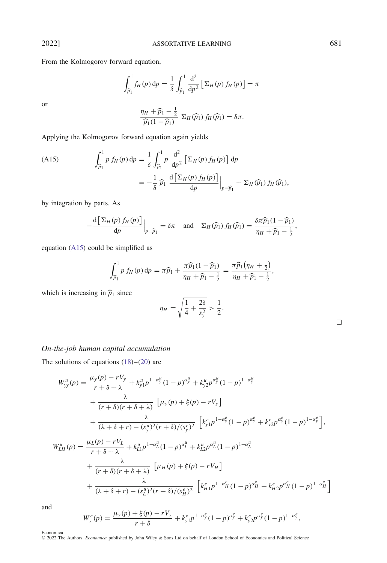From the Kolmogorov forward equation,

$$
\int_{\widehat{p}_1}^1 f_H(p) dp = \frac{1}{\delta} \int_{\widehat{p}_1}^1 \frac{d^2}{dp^2} \left[ \Sigma_H(p) f_H(p) \right] = \pi
$$

or

$$
\frac{\eta_H + \widehat{p}_1 - \frac{1}{2}}{\widehat{p}_1(1-\widehat{p}_1)} \ \Sigma_H(\widehat{p}_1) f_H(\widehat{p}_1) = \delta \pi.
$$

Applying the Kolmogorov forward equation again yields

<span id="page-34-0"></span>(A15) 
$$
\int_{\hat{p}_1}^1 p f_H(p) dp = \frac{1}{\delta} \int_{\hat{p}_1}^1 p \frac{d^2}{dp^2} \left[ \Sigma_H(p) f_H(p) \right] dp \n= -\frac{1}{\delta} \hat{p}_1 \frac{d \left[ \Sigma_H(p) f_H(p) \right]}{dp} \Big|_{p = \hat{p}_1} + \Sigma_H(\hat{p}_1) f_H(\hat{p}_1),
$$

by integration by parts. As

$$
-\frac{d\left[\sum_{H}(p) f_{H}(p)\right]}{dp}\Big|_{p=\widehat{p}_{1}} = \delta \pi \quad \text{and} \quad \Sigma_{H}(\widehat{p}_{1}) f_{H}(\widehat{p}_{1}) = \frac{\delta \pi \widehat{p}_{1}(1-\widehat{p}_{1})}{\eta_{H} + \widehat{p}_{1} - \frac{1}{2}},
$$

equation [\(A15\)](#page-34-0) could be simplified as

$$
\int_{\widehat{p}_1}^1 p f_H(p) dp = \pi \widehat{p}_1 + \frac{\pi \widehat{p}_1 (1 - \widehat{p}_1)}{\eta_H + \widehat{p}_1 - \frac{1}{2}} = \frac{\pi \widehat{p}_1 (\eta_H + \frac{1}{2})}{\eta_H + \widehat{p}_1 - \frac{1}{2}},
$$

which is increasing in  $\hat{p}_1$  since

$$
\eta_H = \sqrt{\frac{1}{4} + \frac{2\delta}{s_y^2}} > \frac{1}{2}.
$$

|  | On-the-job human capital accumulation |
|--|---------------------------------------|
|  |                                       |

The solutions of equations  $(18)$ – $(20)$  are

$$
W_{yy}^{u}(p) = \frac{\mu_{y}(p) - rV_{y}}{r + \delta + \lambda} + k_{y1}^{u}p^{1 - \alpha_{y}^{u}}(1 - p)^{\alpha_{y}^{u}} + k_{y2}^{u}p^{\alpha_{y}^{u}}(1 - p)^{1 - \alpha_{y}^{u}}
$$
  
+ 
$$
\frac{\lambda}{(r + \delta)(r + \delta + \lambda)} \left[\mu_{y}(p) + \xi(p) - rV_{y}\right]
$$
  
+ 
$$
\frac{\lambda}{(\lambda + \delta + r) - (s_{y}^{u})^{2}(r + \delta)/(s_{y}^{e})^{2}} \left[k_{y1}^{e}p^{1 - \alpha_{y}^{e}}(1 - p)^{\alpha_{y}^{e}} + k_{y2}^{e}p^{\alpha_{y}^{e}}(1 - p)^{1 - \alpha_{y}^{e}}\right],
$$
  

$$
W_{LH}^{u}(p) = \frac{\mu_{L}(p) - rV_{L}}{r + \delta + \lambda} + k_{L1}^{u}p^{1 - \alpha_{L}^{u}}(1 - p)^{\alpha_{L}^{u}} + k_{L2}^{u}p^{\alpha_{L}^{u}}(1 - p)^{1 - \alpha_{L}^{u}}
$$
  
+ 
$$
\frac{\lambda}{(r + \delta)(r + \delta + \lambda)} \left[\mu_{H}(p) + \xi(p) - rV_{H}\right]
$$

$$
+\frac{\lambda}{(\lambda+\delta+r)-(s_L^u)^2(r+\delta)/(s_H^e)^2}\left[k_{H1}^e p^{1-\alpha_H^e}(1-p)^{\alpha_H^e}+k_{H2}^e p^{\alpha_H^e}(1-p)^{1-\alpha_H^e}\right]
$$

and

$$
W_{y}^{e}(p) = \frac{\mu_{y}(p) + \xi(p) - rV_{y}}{r + \delta} + k_{y1}^{e} p^{1 - \alpha_{y}^{e}} (1 - p)^{\alpha_{y}^{e}} + k_{y2}^{e} p^{\alpha_{y}^{e}} (1 - p)^{1 - \alpha_{y}^{e}},
$$

Economica © 2022 The Authors. *Economica* published by John Wiley & Sons Ltd on behalf of London School of Economics and Political Science  $\Box$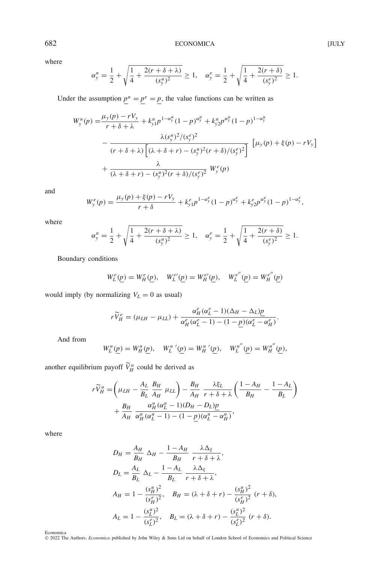where

$$
\alpha_y^u = \frac{1}{2} + \sqrt{\frac{1}{4} + \frac{2(r + \delta + \lambda)}{(s_y^u)^2}} \ge 1, \quad \alpha_y^e = \frac{1}{2} + \sqrt{\frac{1}{4} + \frac{2(r + \delta)}{(s_y^e)^2}} \ge 1.
$$

Under the assumption  $\underline{p}^u = \underline{p}^e = \underline{p}$ , the value functions can be written as

$$
W_{y}^{u}(p) = \frac{\mu_{y}(p) - rV_{y}}{r + \delta + \lambda} + k_{y1}^{u} p^{1 - \alpha_{y}^{u}} (1 - p)^{\alpha_{y}^{u}} + k_{y2}^{u} p^{\alpha_{y}^{u}} (1 - p)^{1 - \alpha_{y}^{u}}
$$
  

$$
- \frac{\lambda(s_{y}^{u})^{2} / (s_{y}^{e})^{2}}{(r + \delta + \lambda) \left[ (\lambda + \delta + r) - (s_{y}^{u})^{2} (r + \delta) / (s_{y}^{e})^{2} \right]} \left[ \mu_{y}(p) + \xi(p) - rV_{y} \right]
$$
  

$$
+ \frac{\lambda}{(\lambda + \delta + r) - (s_{y}^{u})^{2} (r + \delta) / (s_{y}^{e})^{2}} W_{y}^{e}(p)
$$

and

$$
W_{y}^{e}(p) = \frac{\mu_{y}(p) + \xi(p) - rV_{y}}{r + \delta} + k_{y1}^{e} p^{1 - \alpha_{y}^{e}} (1 - p)^{\alpha_{y}^{e}} + k_{y2}^{e} p^{\alpha_{y}^{e}} (1 - p)^{1 - \alpha_{y}^{e}},
$$

where

$$
\alpha_y^u = \frac{1}{2} + \sqrt{\frac{1}{4} + \frac{2(r + \delta + \lambda)}{(s_y^u)^2}} \ge 1, \quad \alpha_y^e = \frac{1}{2} + \sqrt{\frac{1}{4} + \frac{2(r + \delta)}{(s_y^e)^2}} \ge 1.
$$

Boundary conditions

$$
W_L^e(\underline{p}) = W_H^e(\underline{p}), \quad W_L^{e'}(\underline{p}) = W_H^{e'}(\underline{p}), \quad W_L^{e''}(\underline{p}) = W_H^{e''}(\underline{p})
$$

would imply (by normalizing  $V_L = 0$  as usual)

$$
r\widetilde{V}_{H}^{e}=(\mu_{LH}-\mu_{LL})+\frac{\alpha_{H}^{e}(\alpha_{L}^{e}-1)(\Delta_{H}-\Delta_{L})\underline{p}}{\alpha_{H}^{e}(\alpha_{L}^{e}-1)-(1-\underline{p})(\alpha_{L}^{e}-\alpha_{H}^{e})}.
$$

And from

$$
W_L^u(\underline{p}) = W_H^u(\underline{p}), \quad W_L^{u'}(\underline{p}) = W_H^{u'}(\underline{p}), \quad W_L^{u''}(\underline{p}) = W_H^{u''}(\underline{p}),
$$

another equilibrium payoff  $\widetilde{V}_{H}^{u}$  could be derived as

$$
r\widetilde{V}_{H}^{u} = \left(\mu_{LH} - \frac{A_L}{B_L} \frac{B_H}{A_H} \mu_{LL}\right) - \frac{B_H}{A_H} \frac{\lambda \xi_L}{r + \delta + \lambda} \left(\frac{1 - A_H}{B_H} - \frac{1 - A_L}{B_L}\right) + \frac{B_H}{A_H} \frac{\alpha_H^u(\alpha_L^u - 1)(D_H - D_L)\underline{p}}{\alpha_H^u(\alpha_L^u - 1) - (1 - \underline{p})(\alpha_L^u - \alpha_H^u)},
$$

where

$$
D_{H} = \frac{A_{H}}{B_{H}} \Delta_{H} - \frac{1 - A_{H}}{B_{H}} \frac{\lambda \Delta_{\xi}}{r + \delta + \lambda},
$$
  
\n
$$
D_{L} = \frac{A_{L}}{B_{L}} \Delta_{L} - \frac{1 - A_{L}}{B_{L}} \frac{\lambda \Delta_{\xi}}{r + \delta + \lambda},
$$
  
\n
$$
A_{H} = 1 - \frac{(s_{H}^{u})^{2}}{(s_{H}^{e})^{2}}, \quad B_{H} = (\lambda + \delta + r) - \frac{(s_{H}^{u})^{2}}{(s_{H}^{e})^{2}} (r + \delta),
$$
  
\n
$$
A_{L} = 1 - \frac{(s_{L}^{u})^{2}}{(s_{L}^{e})^{2}}, \quad B_{L} = (\lambda + \delta + r) - \frac{(s_{L}^{u})^{2}}{(s_{L}^{e})^{2}} (r + \delta).
$$

Economica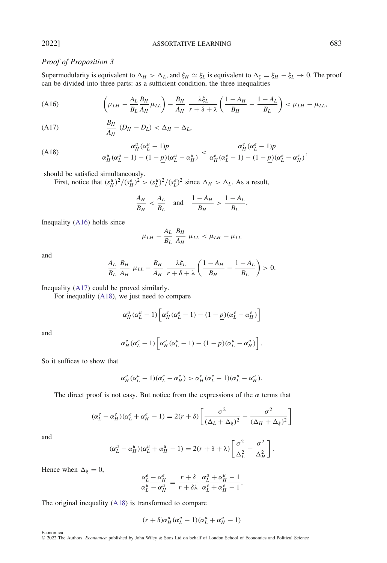# *Proof of Proposition 3*

Supermodularity is equivalent to  $\Delta_H > \Delta_L$ , and  $\xi_H \simeq \xi_L$  is equivalent to  $\Delta_{\xi} = \xi_H - \xi_L \to 0$ . The proof can be divided into three parts: as a sufficient condition, the three inequalities

<span id="page-36-0"></span>
$$
(A16)\qquad \left(\mu_{LH} - \frac{A_L}{B_L}\frac{B_H}{A_H}\mu_{LL}\right) - \frac{B_H}{A_H}\frac{\lambda \xi_L}{r + \delta + \lambda} \left(\frac{1 - A_H}{B_H} - \frac{1 - A_L}{B_L}\right) < \mu_{LH} - \mu_{LL},
$$

<span id="page-36-1"></span>
$$
\frac{B_H}{A_H} (D_H - D_L) < \Delta_H - \Delta_L,
$$

<span id="page-36-2"></span>
$$
(A18) \qquad \frac{\alpha_H^u(\alpha_L^u - 1)\underline{p}}{\alpha_H^u(\alpha_L^u - 1) - (1 - \underline{p})(\alpha_L^u - \alpha_H^u)} < \frac{\alpha_H^e(\alpha_L^e - 1)\underline{p}}{\alpha_H^e(\alpha_L^e - 1) - (1 - \underline{p})(\alpha_L^e - \alpha_H^e)},
$$

should be satisfied simultaneously.

First, notice that  $(s_H^u)^2/(s_H^e)^2 > (s_L^u)^2/(s_L^e)^2$  since  $\Delta_H > \Delta_L$ . As a result,

$$
\frac{A_H}{B_H} < \frac{A_L}{B_L} \quad \text{and} \quad \frac{1 - A_H}{B_H} > \frac{1 - A_L}{B_L}.
$$

Inequality [\(A16\)](#page-36-0) holds since

$$
\mu_{LH} - \frac{A_L}{B_L} \frac{B_H}{A_H} \mu_{LL} < \mu_{LH} - \mu_{LL}
$$

and

$$
\frac{A_L}{B_L} \frac{B_H}{A_H} \mu_{LL} - \frac{B_H}{A_H} \frac{\lambda \xi_L}{r + \delta + \lambda} \left( \frac{1 - A_H}{B_H} - \frac{1 - A_L}{B_L} \right) > 0.
$$

Inequality [\(A17\)](#page-36-1) could be proved similarly.

For inequality [\(A18\)](#page-36-2), we just need to compare

$$
\alpha_H^u(\alpha_L^u - 1) \left[ \alpha_H^e(\alpha_L^e - 1) - (1 - \underline{p})(\alpha_L^e - \alpha_H^e) \right]
$$

and

$$
\alpha_H^e(\alpha_L^e-1)\left[\alpha_H^u(\alpha_L^u-1)-(1-\underline{p})(\alpha_L^u-\alpha_H^u)\right].
$$

So it suffices to show that

$$
\alpha_H^u(\alpha_L^u-1)(\alpha_L^e-\alpha_H^e) > \alpha_H^e(\alpha_L^e-1)(\alpha_L^u-\alpha_H^u).
$$

The direct proof is not easy. But notice from the expressions of the  $\alpha$  terms that

$$
(\alpha_L^e - \alpha_H^e)(\alpha_L^e + \alpha_H^e - 1) = 2(r + \delta) \left[ \frac{\sigma^2}{(\Delta_L + \Delta_{\xi})^2} - \frac{\sigma^2}{(\Delta_H + \Delta_{\xi})^2} \right]
$$

and

$$
(\alpha_L^u - \alpha_H^u)(\alpha_L^u + \alpha_H^u - 1) = 2(r + \delta + \lambda) \left[ \frac{\sigma^2}{\Delta_L^2} - \frac{\sigma^2}{\Delta_H^2} \right].
$$

Hence when  $\Delta_{\xi} = 0$ ,

$$
\frac{\alpha_L^e-\alpha_H^e}{\alpha_L^u-\alpha_H^u}=\frac{r+\delta}{r+\delta\lambda}\,\,\frac{\alpha_L^u+\alpha_H^u-1}{\alpha_L^e+\alpha_H^e-1}.
$$

The original inequality [\(A18\)](#page-36-2) is transformed to compare

$$
(r+\delta)\alpha_H^u(\alpha_L^u-1)(\alpha_L^u+\alpha_H^u-1)
$$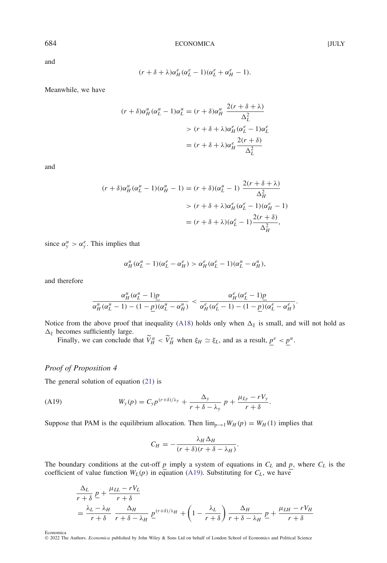and

$$
(r+\delta+\lambda)\alpha_H^e(\alpha_L^e-1)(\alpha_L^e+\alpha_H^e-1).
$$

Meanwhile, we have

$$
(r+\delta)\alpha_H^u(\alpha_L^u-1)\alpha_L^u = (r+\delta)\alpha_H^u \frac{2(r+\delta+\lambda)}{\Delta_L^2}
$$
  
> 
$$
(r+\delta+\lambda)\alpha_H^e(\alpha_L^e-1)\alpha_L^e
$$
  
= 
$$
(r+\delta+\lambda)\alpha_H^e \frac{2(r+\delta)}{\Delta_L^2}
$$

and

$$
(r+\delta)\alpha_H^u(\alpha_L^u-1)(\alpha_H^u-1) = (r+\delta)(\alpha_L^u-1) \frac{2(r+\delta+\lambda)}{\Delta_H^2}
$$
  
> 
$$
(r+\delta+\lambda)\alpha_H^e(\alpha_L^e-1)(\alpha_H^e-1)
$$
  
= 
$$
(r+\delta+\lambda)(\alpha_L^e-1) \frac{2(r+\delta)}{\Delta_H^2},
$$

since  $\alpha_y^u > \alpha_y^e$ . This implies that

$$
\alpha_H^u(\alpha_L^u-1)(\alpha_L^e-\alpha_H^e) > \alpha_H^e(\alpha_L^e-1)(\alpha_L^u-\alpha_H^u),
$$

and therefore

$$
\frac{\alpha_H^u(\alpha_L^u-1)\underline{p}}{\alpha_H^u(\alpha_L^u-1)-(1-\underline{p})(\alpha_L^u-\alpha_H^u)}<\frac{\alpha_H^e(\alpha_L^e-1)\underline{p}}{\alpha_H^e(\alpha_L^e-1)-(1-\underline{p})(\alpha_L^e-\alpha_H^e)}.
$$

Notice from the above proof that inequality [\(A18\)](#page-36-2) holds only when  $\Delta_{\xi}$  is small, and will not hold as  $\Delta_{\xi}$  becomes sufficiently large.

Finally, we can conclude that  $\widetilde{V}_H^u < \widetilde{V}_H^e$  when  $\xi_H \simeq \xi_L$ , and as a result,  $\underline{p}^e < \underline{p}^u$ .

# *Proof of Proposition 4*

The general solution of equation [\(21\)](#page-20-1) is

<span id="page-37-0"></span>
$$
(A19) \t Wy(p) = Cy p(r+\delta)/\lambda_y + \frac{\Delta_y}{r+\delta-\lambda_y} p + \frac{\mu_{Ly}-rV_y}{r+\delta}.
$$

Suppose that PAM is the equilibrium allocation. Then  $\lim_{p\to 1} W_H(p) = W_H(1)$  implies that

$$
C_H = -\frac{\lambda_H \Delta_H}{(r+\delta)(r+\delta-\lambda_H)}.
$$

The boundary conditions at the cut-off  $p$  imply a system of equations in  $C_L$  and  $p$ , where  $C_L$  is the coefficient of value function  $W_L(p)$  in equation [\(A19\)](#page-37-0). Substituting for  $C_L$ , we have

$$
\frac{\Delta_L}{r+\delta} \underline{p} + \frac{\mu_{LL} - rV_L}{r+\delta}
$$
\n
$$
= \frac{\lambda_L - \lambda_H}{r+\delta} \frac{\Delta_H}{r+\delta - \lambda_H} \underline{p}^{(r+\delta)/\lambda_H} + \left(1 - \frac{\lambda_L}{r+\delta}\right) \frac{\Delta_H}{r+\delta - \lambda_H} \underline{p} + \frac{\mu_{LH} - rV_H}{r+\delta}
$$

Economica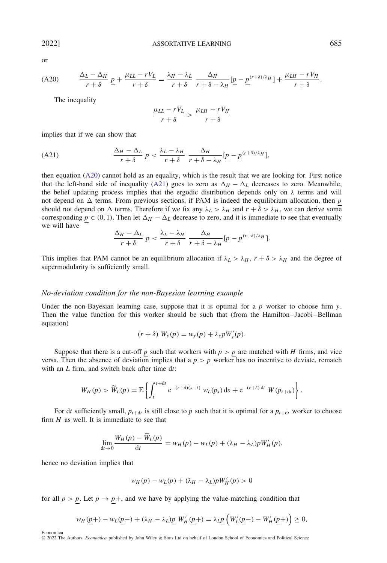$$
\sum_{i=1}^{n} x_i
$$

<span id="page-38-0"></span>
$$
(A20) \qquad \frac{\Delta_L - \Delta_H}{r + \delta} \underline{p} + \frac{\mu_{LL} - rV_L}{r + \delta} = \frac{\lambda_H - \lambda_L}{r + \delta} \frac{\Delta_H}{r + \delta - \lambda_H} [\underline{p} - \underline{p}^{(r + \delta)/\lambda_H}] + \frac{\mu_{LH} - rV_H}{r + \delta}.
$$

The inequality

$$
\frac{\mu_{LL} - rV_L}{r + \delta} > \frac{\mu_{LH} - rV_H}{r + \delta}
$$

implies that if we can show that

<span id="page-38-1"></span>(A21) 
$$
\frac{\Delta_H - \Delta_L}{r + \delta} \underline{p} < \frac{\lambda_L - \lambda_H}{r + \delta} \frac{\Delta_H}{r + \delta - \lambda_H} [\underline{p} - \underline{p}^{(r+\delta)/\lambda_H}],
$$

then equation [\(A20\)](#page-38-0) cannot hold as an equality, which is the result that we are looking for. First notice that the left-hand side of inequality [\(A21\)](#page-38-1) goes to zero as  $\Delta_H - \Delta_L$  decreases to zero. Meanwhile, the belief updating process implies that the ergodic distribution depends only on  $\lambda$  terms and will not depend on  $\Delta$  terms. From previous sections, if PAM is indeed the equilibrium allocation, then  $p$ should not depend on  $\Delta$  terms. Therefore if we fix any  $\lambda_L > \lambda_H$  and  $r + \delta > \lambda_H$ , we can derive some corresponding  $p \in (0, 1)$ . Then let  $\Delta_H - \Delta_L$  decrease to zero, and it is immediate to see that eventually we will have

$$
\frac{\Delta_H - \Delta_L}{r + \delta} \underline{p} < \frac{\lambda_L - \lambda_H}{r + \delta} \frac{\Delta_H}{r + \delta - \lambda_H} [\underline{p} - \underline{p}^{(r + \delta) / \lambda_H}].
$$

This implies that PAM cannot be an equilibrium allocation if  $\lambda_L > \lambda_H$ ,  $r + \delta > \lambda_H$  and the degree of supermodularity is sufficiently small.

#### *No-deviation condition for the non-Bayesian learning example*

Under the non-Bayesian learning case, suppose that it is optimal for a *p* worker to choose firm *y*. Then the value function for this worker should be such that (from the Hamilton–Jacobi–Bellman equation)

$$
(r+\delta) W_y(p) = w_y(p) + \lambda_y p W'_y(p).
$$

Suppose that there is a cut-off  $p$  such that workers with  $p > p$  are matched with  $H$  firms, and vice versa. Then the absence of deviation implies that a  $p > p$  worker has no incentive to deviate, rematch with an *L* firm, and switch back after time d*t*:

$$
W_H(p) > \widetilde{W}_L(p) = \mathbb{E}\left\{\int_t^{t+dt} e^{-(r+\delta)(s-t)} W_L(p_s) ds + e^{-(r+\delta) dt} W(p_{t+dt})\right\}.
$$

For dt sufficiently small,  $p_{t+dt}$  is still close to p such that it is optimal for a  $p_{t+dt}$  worker to choose firm *H* as well. It is immediate to see that

$$
\lim_{\mathrm{d}t\to 0}\frac{W_H(p)-\tilde{W}_L(p)}{\mathrm{d}t}=w_H(p)-w_L(p)+(\lambda_H-\lambda_L)pW'_H(p),
$$

hence no deviation implies that

Economica

$$
w_H(p) - w_L(p) + (\lambda_H - \lambda_L) p W'_H(p) > 0
$$

for all  $p > p$ . Let  $p \rightarrow p+$ , and we have by applying the value-matching condition that

$$
w_H(\underline{p}+) - w_L(\underline{p}^-) + (\lambda_H - \lambda_L) \underline{p} W'_H(\underline{p}^+) = \lambda_L \underline{p} \left( W'_L(\underline{p}^-) - W'_H(\underline{p}^+) \right) \ge 0,
$$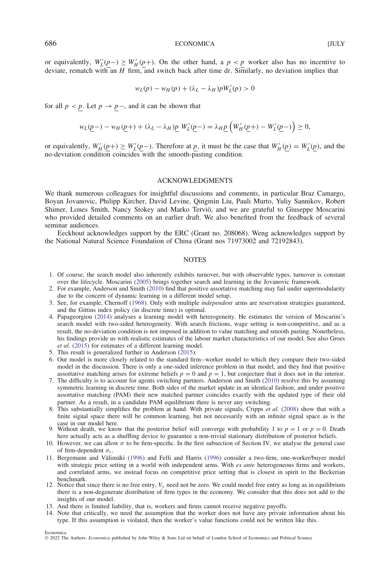or equivalently,  $W'_L(\underline{p}) \geq W'_H(\underline{p})$ . On the other hand, a  $p < p$  worker also has no incentive to deviate, rematch with an *H* firm, and switch back after time d*t*. Similarly, no deviation implies that

$$
w_L(p) - w_H(p) + (\lambda_L - \lambda_H) p W'_L(p) > 0
$$

for all  $p < p$ . Let  $p \rightarrow p$ –, and it can be shown that

$$
w_L(\underline{p}-) - w_H(\underline{p}+) + (\lambda_L - \lambda_H) \underline{p} \ W'_L(\underline{p}-) = \lambda_H \underline{p} \left( W'_H(\underline{p}+) - W'_L(\underline{p}-) \right) \ge 0,
$$

or equivalently,  $W'_H(\underline{p}+) \geq W'_L(\underline{p}-)$ . Therefore at  $\underline{p}$ , it must be the case that  $W'_H(\underline{p}) = W'_L(\underline{p})$ , and the no-deviation condition coincides with the smooth-pasting condition.

#### ACKNOWLEDGMENTS

We thank numerous colleagues for insightful discussions and comments, in particular Braz Camargo, Boyan Jovanovic, Philipp Kircher, David Levine, Qingmin Liu, Pauli Murto, Yuliy Sannikov, Robert Shimer, Lones Smith, Nancy Stokey and Marko Tervio, and we are grateful to Giuseppe Moscarini ¨ who provided detailed comments on an earlier draft. We also benefited from the feedback of several seminar audiences.

Eeckhout acknowledges support by the ERC (Grant no. 208068). Weng acknowledges support by the National Natural Science Foundation of China (Grant nos 71973002 and 72192843).

#### **NOTES**

- <span id="page-39-0"></span>1. Of course, the search model also inherently exhibits turnover, but with observable types, turnover is constant over the lifecycle. Moscarini [\(2005\)](#page-41-3) brings together search and learning in the Jovanovic framework.
- <span id="page-39-1"></span>2. For example, Anderson and Smith [\(2010\)](#page-41-15) find that positive assortative matching may fail under supermodularity due to the concern of dynamic learning in a different model setup.
- <span id="page-39-2"></span>3. See, for example, Chernoff [\(1968\)](#page-41-22). Only with multiple *independent* arms are reservation strategies guaranteed, and the Gittins index policy (in discrete time) is optimal.
- <span id="page-39-3"></span>4. Papageorgiou [\(2014\)](#page-41-6) analyses a learning model with heterogeneity. He estimates the version of Moscarini's search model with two-sided heterogeneity. With search frictions, wage setting is non-competitive, and as a result, the no-deviation condition is not imposed in addition to value matching and smooth pasting. Nonetheless, his findings provide us with realistic estimates of the labour market characteristics of our model. See also Groes *et al.* [\(2015\)](#page-41-23) for estimates of a different learning model.
- <span id="page-39-4"></span>5. This result is generalized further in Anderson [\(2015\)](#page-40-18).
- <span id="page-39-5"></span>6. Our model is more closely related to the standard firm–worker model to which they compare their two-sided model in the discussion. There is only a one-sided inference problem in that model, and they find that positive assortative matching arises for extreme beliefs  $p = 0$  and  $p = 1$ , but conjecture that it does not in the interior.
- <span id="page-39-6"></span>7. The difficulty is to account for agents switching partners. Anderson and Smith [\(2010\)](#page-41-15) resolve this by assuming symmetric learning in discrete time. Both sides of the market update in an identical fashion, and under positive assortative matching (PAM) their new matched partner coincides exactly with the updated type of their old partner. As a result, in a candidate PAM equilibrium there is never any switching.
- <span id="page-39-7"></span>8. This substantially simplifies the problem at hand. With private signals, Cripps *et al.* [\(2008\)](#page-41-24) show that with a finite signal space there will be common learning, but not necessarily with an infinite signal space as is the case in our model here.
- <span id="page-39-8"></span>9. Without death, we know that the posterior belief will converge with probability 1 to  $p = 1$  or  $p = 0$ . Death here actually acts as a shuffling device to guarantee a non-trivial stationary distribution of posterior beliefs.
- <span id="page-39-9"></span>10. However, we can allow  $\sigma$  to be firm-specific. In the first subsection of Section IV, we analyse the general case of firm-dependent *σ<sup>y</sup>* .
- <span id="page-39-10"></span>11. Bergemann and Välimäki ([1996\)](#page-41-25) and Felli and Harris [\(1996\)](#page-41-2) consider a two-firm, one-worker/buyer model with strategic price setting in a world with independent arms. With *ex ante* heterogeneous firms and workers, and correlated arms, we instead focus on competitive price setting that is closest in spirit to the Beckerian benchmark.
- <span id="page-39-11"></span>12. Notice that since there is no free entry, *Vy* need not be zero. We could model free entry as long as in equilibrium there is a non-degenerate distribution of firm types in the economy. We consider that this does not add to the insights of our model.
- <span id="page-39-12"></span>13. And there is limited liability, that is, workers and firms cannot receive negative payoffs.
- <span id="page-39-14"></span><span id="page-39-13"></span>14. Note that critically, we need the assumption that the worker does not have any private information about his type. If this assumption is violated, then the worker's value functions could not be written like this.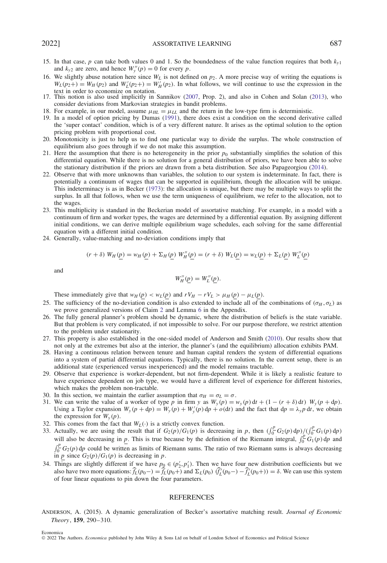- 15. In that case, *p* can take both values 0 and 1. So the boundedness of the value function requires that both  $k_{y1}$ and  $k_{y2}$  are zero, and hence  $W''_y(p) = 0$  for every *p*.
- <span id="page-40-0"></span>16. We slightly abuse notation here since  $W_L$  is not defined on  $p_2$ . A more precise way of writing the equations is  $W_L(p_2+) = W_H(p_2)$  and  $W'_L(p_2+) = W'_H(p_2)$ . In what follows, we will continue to use the expression in the
- <span id="page-40-1"></span>text in order to economize on notation. 17. This notion is also used implicitly in Sannikov [\(2007,](#page-41-13) Prop. 2), and also in Cohen and Solan [\(2013\)](#page-41-26), who consider deviations from Markovian strategies in bandit problems.
- <span id="page-40-2"></span>18. For example, in our model, assume  $\mu_{HL} = \mu_{LL}$  and the return in the low-type firm is deterministic.
- <span id="page-40-3"></span>19. In a model of option pricing by Dumas [\(1991\)](#page-41-27), there does exist a condition on the second derivative called the 'super contact' condition, which is of a very different nature. It arises as the optimal solution to the option pricing problem with proportional cost.
- <span id="page-40-4"></span>20. Monotonicity is just to help us to find one particular way to divide the surplus. The whole construction of equilibrium also goes through if we do not make this assumption.
- <span id="page-40-5"></span>21. Here the assumption that there is no heterogeneity in the prior  $p_0$  substantially simplifies the solution of this differential equation. While there is no solution for a general distribution of priors, we have been able to solve the stationary distribution if the priors are drawn from a beta distribution. See also Papageorgiou [\(2014\)](#page-41-6).
- 22. Observe that with more unknowns than variables, the solution to our system is indeterminate. In fact, there is potentially a continuum of wages that can be supported in equilibrium, though the allocation will be unique. This indeterminacy is as in Becker [\(1973\)](#page-41-17): the allocation is unique, but there may be multiple ways to split the surplus. In all that follows, when we use the term uniqueness of equilibrium, we refer to the allocation, not to the wages.
- <span id="page-40-6"></span>23. This multiplicity is standard in the Beckerian model of assortative matching. For example, in a model with a continuum of firm and worker types, the wages are determined by a differential equation. By assigning different initial conditions, we can derive multiple equilibrium wage schedules, each solving for the same differential equation with a different initial condition.
- <span id="page-40-7"></span>24. Generally, value-matching and no-deviation conditions imply that

$$
(r + \delta) W_H(\underline{p}) = w_H(\underline{p}) + \Sigma_H(\underline{p}) W_H''(\underline{p}) = (r + \delta) W_L(\underline{p}) = w_L(\underline{p}) + \Sigma_L(\underline{p}) W_L''(\underline{p})
$$

and

$$
W_H''(p) = W_L''(p).
$$

<span id="page-40-8"></span>These immediately give that  $w_H(p) < w_L(p)$  and  $rV_H - rV_L > \mu_H(p) - \mu_L(p)$ .

- 25. The sufficiency of the no-deviation condition is also extended to include all of the combinations of  $(σ<sub>H</sub>, σ<sub>L</sub>)$  as we prove generalized versions of Claim [2](#page-8-0) and Lemma [6](#page-8-2) in the Appendix.
- <span id="page-40-9"></span>26. The fully general planner's problem should be dynamic, where the distribution of beliefs is the state variable. But that problem is very complicated, if not impossible to solve. For our purpose therefore, we restrict attention to the problem under stationarity.
- <span id="page-40-10"></span>27. This property is also established in the one-sided model of Anderson and Smith [\(2010\)](#page-41-15). Our results show that not only at the extremes but also at the interior, the planner's (and the equilibrium) allocation exhibits PAM.
- <span id="page-40-11"></span>28. Having a continuous relation between tenure and human capital renders the system of differential equations into a system of partial differential equations. Typically, there is no solution. In the current setup, there is an additional state (experienced versus inexperienced) and the model remains tractable.
- <span id="page-40-12"></span>29. Observe that experience is worker-dependent, but not firm-dependent. While it is likely a realistic feature to have experience dependent on job type, we would have a different level of experience for different histories, which makes the problem non-tractable.
- <span id="page-40-13"></span>30. In this section, we maintain the earlier assumption that  $\sigma_H = \sigma_L = \sigma$ .
- <span id="page-40-14"></span>31. We can write the value of a worker of type p in firm y as  $W_y(p) = w_y(p) dt + (1 - (r + \delta) dt) W_y(p + dp)$ . Using a Taylor expansion  $W_y(p + dp) = W_y(p) + W_y'(p) dp + o(dt)$  and the fact that  $dp = \lambda_y p dt$ , we obtain the expression for  $W_y(p)$ .
- <span id="page-40-15"></span>32. This comes from the fact that  $W_L(\cdot)$  is a strictly convex function.
- <span id="page-40-16"></span>33. Actually, we are using the result that if  $G_2(p)/G_1(p)$  is decreasing in p, then  $(\int_0^p G_2(p) dp)/(\int_0^p G_1(p) dp)$ will also be decreasing in *p*. This is true because by the definition of the Riemann integral,  $\int_0^p G_1(p) dp$  and  $\int_0^p G_2(p) dp$  could be written as limits of Riemann sums. The ratio of two Riemann sums is always decreasing in *p* since  $G_2(p)/G_1(p)$  is decreasing in *p*.
- <span id="page-40-17"></span>34. Things are slightly different if we have  $p_0 \in (p'_2, p'_1)$ . Then we have four new distribution coefficients but we also have two more equations:  $\hat{f}_L(p_0-) = \hat{f}_L(p_0+)$  and  $\Sigma_L(p_0)$   $(\hat{f}_L'(p_0-) - \hat{f}_L'(p_0+)) = \delta$ . We can use this system of four linear equations to pin down the four parameters.

#### **REFERENCES**

<span id="page-40-18"></span>ANDERSON, A. (2015). A dynamic generalization of Becker's assortative matching result. *Journal of Economic Theory*, **159**, 290–310.

Economica

<sup>©</sup> 2022 The Authors. *Economica* published by John Wiley & Sons Ltd on behalf of London School of Economics and Political Science